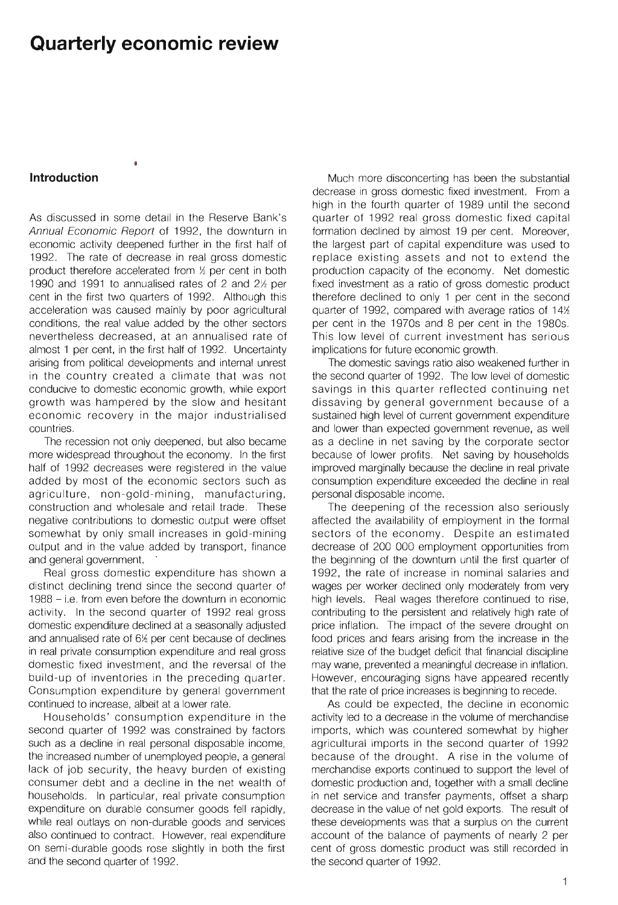## **Quarterly economic review**

## **Introduction**

As discussed in some detail in the Reserve Bank's Annual Economic Report of 1992, the downturn in economic activity deepened further in the first half of 1992. The rate of decrease in real gross domestic product therefore accelerated from  $%$  per cent in both 1990 and 1991 to annualised rates of 2 and  $2\frac{1}{2}$  per cent in the first two quarters of 1992. Although this acceleration was caused mainly by poor agricultural conditions, the real value added by the other sectors nevertheless decreased, at an annualised rate of almost 1 per cent, in the first half of 1992. Uncertainty arising from political developments and internal unrest in the country created a climate that was not conducive to domestic economic growth, while export growth was hampered by the slow and hesitant economic recovery in the major industrialised countries.

The recession not only deepened, but also became more widespread throughout the economy. In the first half of 1992 decreases were registered in the value added by most of the economic sectors such as agriculture, non-gold-mining, manufacturing, construction and wholesale and retail trade. These negative contributions to domestic output were offset somewhat by only small increases in gold-mining output and in the value added by transport, finance and general government.

Real gross domestic expenditure has shown a distinct declining trend since the second quarter of 1988 - i.e. from even before the downturn in economic activity. In the second quarter of 1992 real gross domestic expenditure declined at a seasonally adjusted and annualised rate of  $6%$  per cent because of declines in real private consumption expenditure and real gross domestic fixed investment, and the reversal of the build-up of inventories in the preceding quarter. Consumption expenditure by general government continued to increase, albeit at a lower rate.

Households' consumption expenditure in the second quarter of 1992 was constrained by factors such as a decline in real personal disposable income, the increased number of unemployed people, a general lack of job security, the heavy burden of existing consumer debt and a decline in the net wealth of households. In particular, real private consumption expenditure on durable consumer goods fell rapidly, while real outlays on non-durable goods and services also continued to contract. However, real expenditure on semi-durable goods rose slightly in both the first and the second quarter of 1992.

Much more disconcerting has been the substantial decrease in gross domestic fixed investment. From a high in the fourth quarter of 1989 until the second quarter of 1992 real gross domestic fixed capital formation declined by almost 19 per cent. Moreover, the largest part of capital expenditure was used to replace existing assets and not to extend the production capacity of the economy. Net domestic fixed investment as a ratio of gross domestic product therefore declined to only 1 per cent in the second quarter of 1992, compared with average ratios of  $14%$ per cent in the 1970s and 8 per cent in the 1980s. This low level of current investment has serious implications for future economic growth.

The domestic savings ratio also weakened further in the second quarter of 1992. The low level of domestic savings in this quarter reflected continuing net dissaving by general government because of a sustained high level of current government expenditure and lower than expected government revenue, as well as a decline in net saving by the corporate sector because of lower profits. Net saving by households improved marginally because the decline in real private consumption expenditure exceeded the decline in real personal disposable income.

The deepening of the recession also seriously affected the availability of employment in the formal sectors of the economy. Despite an estimated decrease of 200 000 employment opportunities from the beginning of the downturn until the first quarter of 1992, the rate of increase in nominal salaries and wages per worker declined only moderately from very high levels. Real wages therefore continued to rise, contributing to the persistent and relatively high rate of price inflation. The impact of the severe drought on food prices and fears arising from the increase in the relative size of the budget deficit that financial discipline may wane, prevented a meaningful decrease in inflation. However, encouraging signs have appeared recently that the rate of price increases is beginning to recede.

As could be expected, the decline in economic activity led to a decrease in the volume of merchandise imports, which was countered somewhat by higher agricultural imports in the second quarter of 1992 because of the drought. A rise in the volume of merchandise exports continued to support the level of domestic production and, together with a small decline in net service and transfer payments, offset a sharp decrease in the value of net gold exports. The result of these developments was that a surplus on the current account of the balance of payments of nearly 2 per cent of gross domestic product was still recorded in the second quarter of 1992.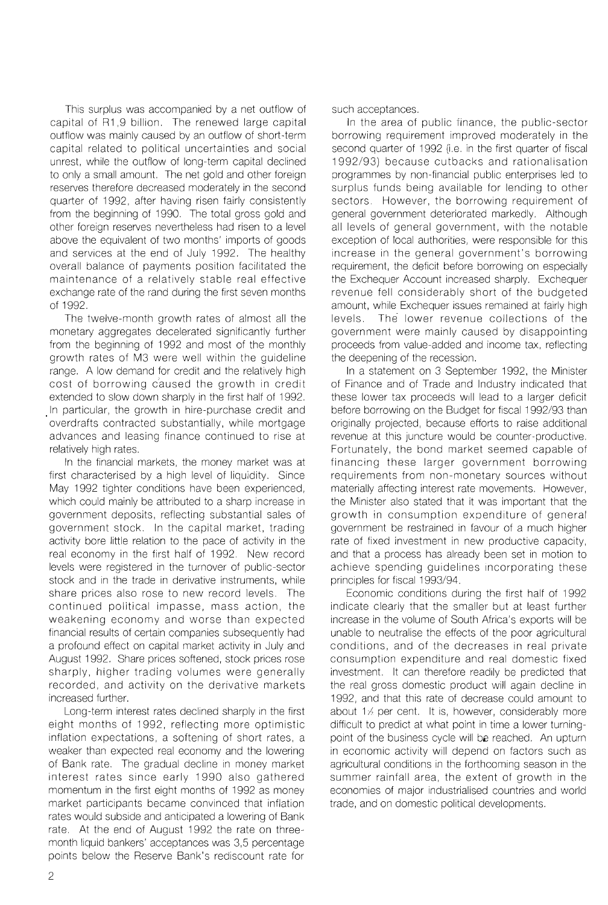This surplus was accompanied by a net outflow of capital of R1 ,9 billion. The renewed large capital outflow was mainly caused by an outflow of short-term capital related to political uncertainties and social unrest, while the outflow of long-term capital declined to only a small amount. The net gold and other foreign reserves therefore decreased moderately in the second quarter of 1992, after having risen fairly consistently from the beginning of 1990. The total gross gold and other foreign reserves nevertheless had risen to a level above the equivalent of two months' imports of goods and services at the end of July 1992. The healthy overall balance of payments position facilitated the maintenance of a relatively stable real effective exchange rate of the rand during the first seven months of 1992.

The twelve-month growth rates of almost all the monetary aggregates decelerated significantly further from the beginning of 1992 and most of the monthly growth rates of M3 were well within the guideline range. A low demand for credit and the relatively high cost of borrowing c'aused the growth in credit extended to slow down sharply in the first half of 1992. In particular, the growth in hire-purchase credit and overdrafts contracted substantially, while mortgage advances and leasing finance continued to rise at relatively high rates.

In the financial markets, the money market was at first characterised by a high level of liquidity. Since May 1992 tighter conditions have been experienced, which could mainly be attributed to a sharp increase in government deposits, reflecting substantial sales of government stock. In the capital market, trading activity bore little relation to the pace of activity in the real economy in the first half of 1992. New record levels were registered in the turnover of public-sector stock and in the trade in derivative instruments, while share prices also rose to new record levels. The continued political impasse, mass action, the weakening economy and worse than expected financial results of certain companies subsequently had a profound effect on capital market activity in July and August 1992. Share prices softened, stock prices rose sharply, higher trading volumes were generally recorded, and activity on the derivative markets increased further.

Long-term interest rates declined sharply in the first eight months of 1992, reflecting more optimistic inflation expectations, a softening of short rates, a weaker than expected real economy and the lowering of Bank rate. The gradual decline in money market interest rates since early 1990 also gathered momentum in the first eight months of 1992 as money market participants became convinced that inflation rates would subside and anticipated a lowering of Bank rate. At the end of August 1992 the rate on threemonth liquid bankers' acceptances was 3,5 percentage points below the Reserve Bank's rediscount rate for

such acceptances.

In the area of public finance, the public-sector borrowing requirement improved moderately in the second quarter of 1992 (i.e. in the first quarter of fiscal 1992/93) because cutbacks and rationalisation programmes by non-financial public enterprises led to surplus funds being available for lending to other sectors. However, the borrowing requirement of general government deteriorated markedly. Although all levels of general government, with the notable exception of local authorities, were responsible for this increase in the general government's borrowing requirement, the deficit before borrowing on especially the Exchequer Account increased sharply. Exchequer revenue fell considerably short of the budgeted amount, while Exchequer issues remained at fairly high levels. The lower revenue collections of the government were mainly caused by disappointing proceeds from value-added and income tax, reflecting the deepening of the recession.

In a statement on 3 September 1992, the Minister of Finance and of Trade and Industry indicated that these lower tax proceeds will lead to a larger deficit before borrowing on the Budget for fiscal 1992/93 than originally projected, because efforts to raise additional revenue at this juncture would be counter-productive. Fortunately, the bond market seemed capable of financing these larger government borrowing requirements from non-monetary sources without materially affecting interest rate movements. However, the Minister also stated that it was important that the growth in consumption expenditure of general government be restrained in favour of a much higher rate of fixed investment in new productive capacity, and that a process has already been set in motion to achieve spending guidelines incorporating these principles for fiscal 1993/94.

Economic conditions during the first half of 1992 indicate clearly that the smaller but at least further increase in the volume of South Africa's exports will be unable to neutralise the effects of the poor agricultural conditions, and of the decreases in real private consumption expenditure and real domestic fixed investment. It can therefore readily be predicted that the real gross domestic product will again decline in 1992, and that this rate of decrease could amount to about  $1/2$  per cent. It is, however, considerably more difficult to predict at what point in time a lower turningpoint of the business cycle will **be** reached. An upturn in economic activity will depend on factors such as agricultural conditions in the forthcoming season in the summer rainfall area, the extent of growth in the economies of major industrialised countries and world trade, and on domestic political developments.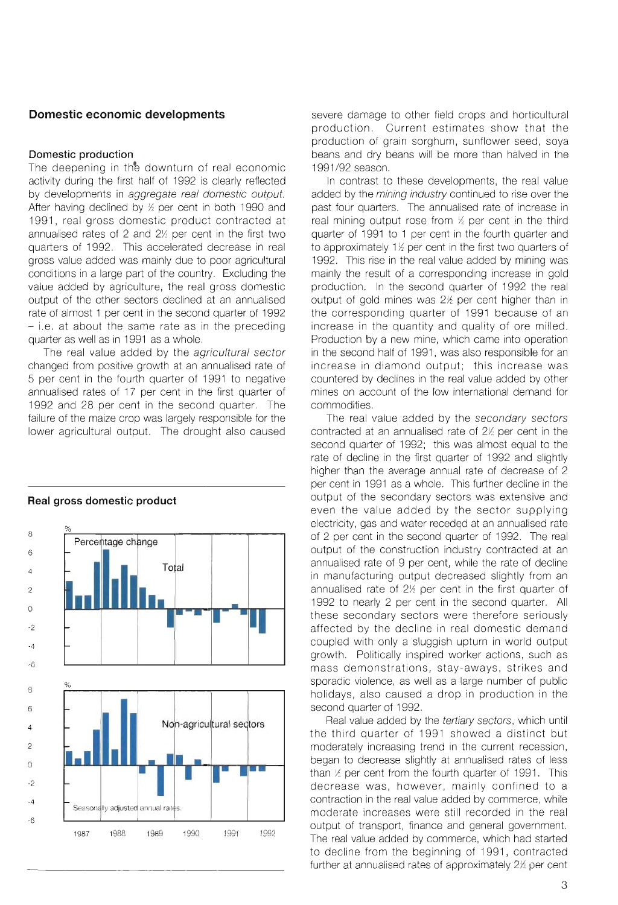## **Domestic economic developments**

#### **Domestic production**

The deepening in the downturn of real economic activity during the first half of 1992 is clearly reflected by developments in aggregate real domestic output. After having declined by  $\frac{1}{2}$  per cent in both 1990 and 1991, real gross domestic product contracted at annualised rates of 2 and  $2\%$  per cent in the first two quarters of 1992. This accelerated decrease in real gross value added was mainly due to poor agricultural conditions in a large part of the country. Excluding the value added by agriculture, the real gross domestic output of the other sectors declined at an annualised rate of almost 1 per cent in the second quarter of 1992  $-$  i.e. at about the same rate as in the preceding quarter as well as in 1991 as a whole.

The real value added by the agricultural sector changed from positive growth at an annualised rate of 5 per cent in the fourth quarter of 1991 to negative annualised rates of 17 per cent in the first quarter of 1992 and 28 per cent in the second quarter. The failure of the maize crop was largely responsible for the lower agricultural output. The drought also caused



## **Real gross domestic product**

severe damage to other field crops and horticultural production. Current estimates show that the production of grain sorghum, sunflower seed, soya beans and dry beans will be more than halved in the 1991/92 season.

In contrast to these developments, the real value added by the mining industry continued to rise over the past four quarters. The annualised rate of increase in real mining output rose from  $\frac{1}{2}$  per cent in the third quarter of 1991 to 1 per cent in the fourth quarter and to approximately  $1\frac{1}{2}$  per cent in the first two quarters of 1992. This rise in the real value added by mining was mainly the result of a corresponding increase in gold production. In the second quarter of 1992 the real output of gold mines was  $2\frac{1}{2}$  per cent higher than in the corresponding quarter of 1991 because of an increase in the quantity and quality of ore milled. Production by a new mine, which came into operation in the second half of 1991, was also responsible for an increase in diamond output; this increase was countered by declines in the real value added by other mines on account of the low international demand for commodities.

The real value added by the secondary sectors contracted at an annualised rate of  $2\frac{1}{2}$  per cent in the second quarter of 1992; this was almost equal to the rate of decline in the first quarter of 1992 and slightly higher than the average annual rate of decrease of 2 per cent in 1991 as a whole. This further decline in the output of the secondary sectors was extensive and even the value added by the sector supplying electricity, gas and water receded at an annualised rate of 2 per cent in the second quarter of 1992. The real output of the construction industry contracted at an annualised rate of 9 per cent, while the rate of decline in manufacturing output decreased slightly from an annualised rate of  $2\frac{1}{2}$  per cent in the first quarter of 1992 to nearly 2 per cent in the second quarter. All these secondary sectors were therefore seriously affected by the decline in real domestic demand coupled with only a sluggish upturn in world output growth. Politically inspired worker actions, such as mass demonstrations, stay-aways, strikes and sporadic violence, as well as a large number of public holidays, also caused a drop in production in the second quarter of 1992.

Real value added by the tertiary sectors, which until the third quarter of 1991 showed a distinct but moderately increasing trend in the current recession, began to decrease slightly at annualised rates of less than  $%$  per cent from the fourth quarter of 1991. This decrease was, however, mainly confined to a contraction in the real value added by commerce, while moderate increases were still recorded in the real output of transport, finance and general government. The real value added by commerce, which had started to decline from the beginning of 1991, contracted further at annualised rates of approximately  $2\n 2$  per cent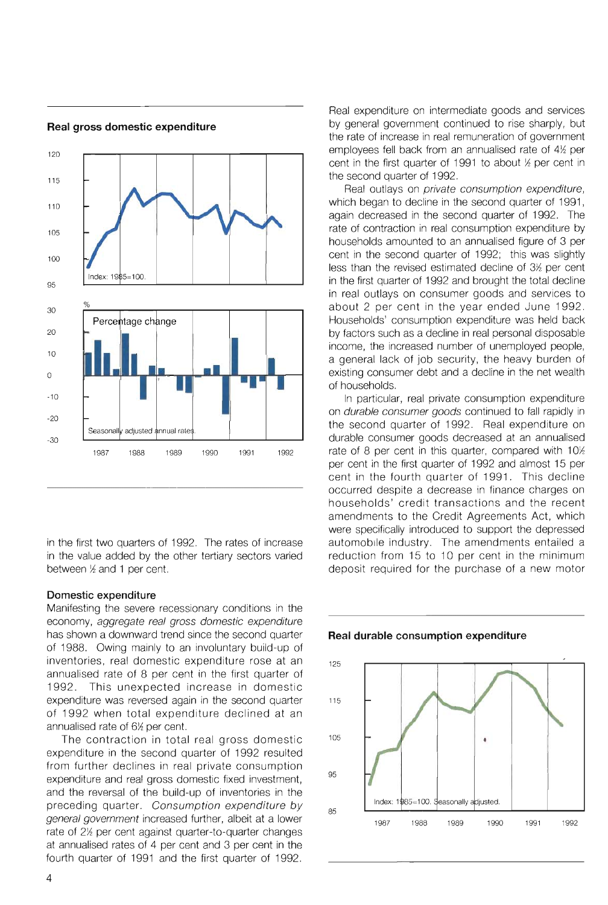

**Real gross domestic expenditure** 

in the first two quarters of 1992. The rates of increase in the value added by the other tertiary sectors varied between  $%$  and 1 per cent.

## **Domestic expenditure**

Manifesting the severe recessionary conditions in the economy, aggregate real gross domestic expenditure has shown a downward trend since the second quarter of 1988. Owing mainly to an involuntary build-up of inventories, real domestic expenditure rose at an annualised rate of 8 per cent in the first quarter of 1992. This unexpected increase in domestic expenditure was reversed again in the second quarter of 1992 when total expenditure declined at an annualised rate of  $6\%$  per cent.

The contraction in total real gross domestic expenditure in the second quarter of 1992 resulted from further declines in real private consumption expenditure and real gross domestic fixed investment, and the reversal of the build-up of inventories in the preceding quarter. Consumption expenditure by general government increased further, albeit at a lower rate of 2% per cent against quarter-to-quarter changes at annualised rates of 4 per cent and 3 per cent in the fourth quarter of 1991 and the first quarter of 1992.

Real expenditure on intermediate goods and services by general government continued to rise sharply, but the rate of increase in real remuneration of government employees fell back from an annualised rate of  $4\frac{1}{2}$  per cent in the first quarter of 1991 to about  $\frac{1}{2}$  per cent in the second quarter of 1992.

Real outlays on private consumption expenditure, which began to decline in the second quarter of 1991, again decreased in the second quarter of 1992. The rate of contraction in real consumption expenditure by households amounted to an annualised figure of 3 per cent in the second quarter of 1992; this was slightly less than the revised estimated decline of  $3\frac{1}{2}$  per cent in the first quarter of 1992 and brought the total decline in real outlays on consumer goods and services to about 2 per cent in the year ended June 1992. Households' consumption expenditure was held back by factors such as a decline in real personal disposable income, the increased number of unemployed people, a general lack of job security, the heavy burden of existing consumer debt and a decline in the net wealth of households.

In particular, real private consumption expenditure on durable consumer goods continued to fall rapidly in the second quarter of 1992. Real expenditure on durable consumer goods decreased at an annualised rate of 8 per cent in this quarter, compared with  $10\%$ per cent in the first quarter of 1992 and almost 15 per cent in the fourth quarter of 1991. This decline occurred despite a decrease in finance charges on households' credit transactions and the recent amendments to the Credit Agreements Act, which were specifically introduced to support the depressed automobile industry. The amendments entailed a reduction from 15 to 10 per cent in the minimum deposit required for the purchase of a new motor



Index: 1985=100. Seasonally adjusted.

1987 1988 1989 1990 1991 1992

#### **Real durable consumption expenditure**

85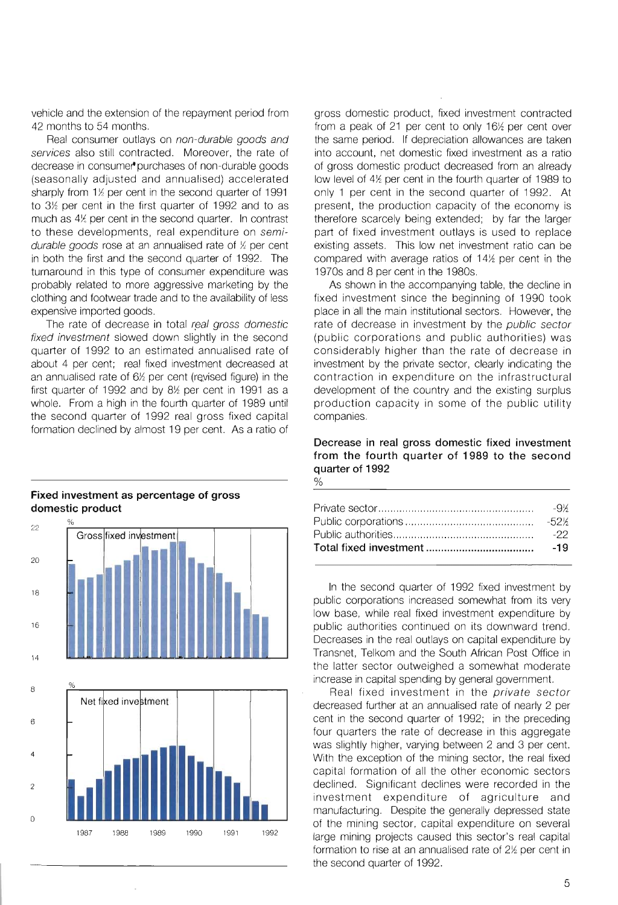vehicle and the extension of the repayment period from 42 months to 54 months.

Real consumer outlays on non-durable goods and services also still contracted. Moreover, the rate of decrease in consume" purchases of non-durable goods (seasonally adjusted and annualised) accelerated sharply from  $1%$  per cent in the second quarter of 1991 to  $3\%$  per cent in the first quarter of 1992 and to as much as  $4\frac{1}{2}$  per cent in the second quarter. In contrast to these developments, real expenditure on semidurable goods rose at an annualised rate of  $\frac{1}{2}$  per cent in both the first and the second quarter of 1992. The turnaround in this type of consumer expenditure was probably related to more aggressive marketing by the clothing and footwear trade and to the availability of less expensive imported goods.

The rate of decrease in total real gross domestic fixed investment slowed down slightly in the second quarter of 1992 to an estimated annualised rate of about 4 per cent; real fixed investment decreased at an annualised rate of  $6\%$  per cent (revised figure) in the first quarter of 1992 and by  $8\%$  per cent in 1991 as a whole. From a high in the fourth quarter of 1989 until the second quarter of 1992 real gross fixed capital formation declined by almost 19 per cent. As a ratio of



## **Fixed investment as percentage of gross domestic product**

gross domestic product, fixed investment contracted from a peak of 21 per cent to only  $16%$  per cent over the same period. If depreciation allowances are taken into account, net domestic fixed investment as a ratio of gross domestic product decreased from an already low level of  $4\frac{1}{2}$  per cent in the fourth quarter of 1989 to only 1 per cent in the second quarter of 1992. At present, the production capacity of the economy is therefore scarcely being extended; by far the larger part of fixed investment outlays is used to replace existing assets. This low net investment ratio can be compared with average ratios of  $14%$  per cent in the 1970s and 8 per cent in the 1980s.

As shown in the accompanying table, the decline in fixed investment since the beginning of 1990 took place in "all the main institutional sectors. However, the rate of decrease in investment by the public sector (public corporations and public authorities) was considerably higher than the rate of decrease in investment by the private sector, clearly indicating the contraction in expenditure on the infrastructural development of the country and the existing surplus production capacity in some of the public utility companies.

#### **Decrease in real gross domestic fixed investment from the fourth quarter of 1989 to the second**  quarter of 1992 %

| -22 |
|-----|
|     |

In the second quarter of 1992 fixed investment by public corporations increased somewhat from its very low base, while real fixed investment expenditure by public authorities continued on its downward trend. Decreases in the real outlays on capital expenditure by Transnet, Telkom and the South African Post Office in the latter sector outweighed a somewhat moderate increase in capital spending by general government.

Real fixed investment in the private sector decreased further at an annualised rate of nearly 2 per cent in the second quarter of 1992; in the preceding four quarters the rate of decrease in this aggregate was slightly higher, varying between 2 and 3 per cent. With the exception of the mining sector, the real fixed capital formation of all the other economic sectors declined. Significant declines were recorded in the investment expenditure of agriculture and manufacturing. Despite the generally depressed state of the mining sector, capital expenditure on several large mining projects caused this sector's real capital formation to rise at an annualised rate of  $2\frac{1}{2}$  per cent in the second quarter of 1992.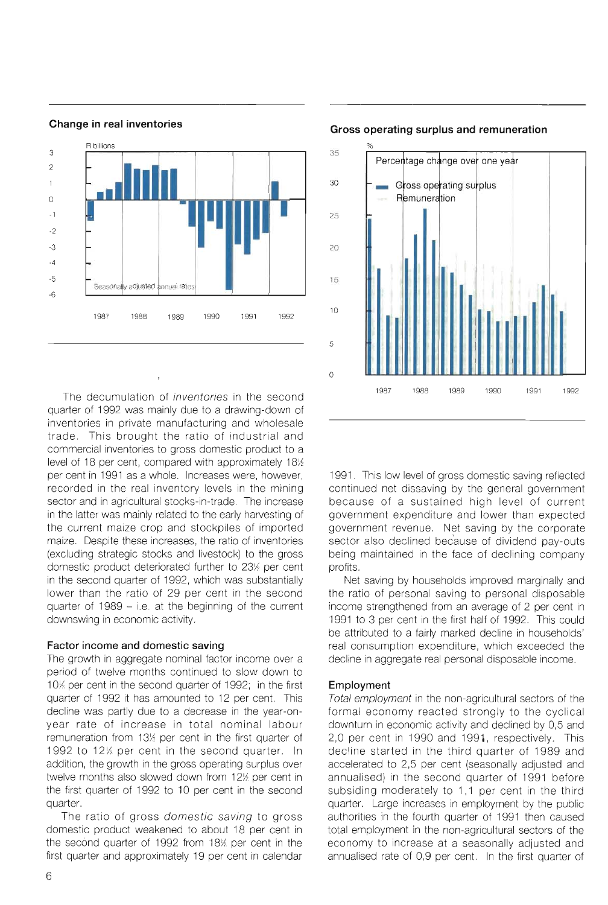

#### **Change in real inventories**

The decumulation of inventories in the second quarter of 1992 was mainly due to a drawing-down of inventories in private manufacturing and wholesale trade. This brought the ratio of industrial and commercial inventories to gross domestic product to a level of 18 per cent, compared with approximately  $18%$ per cent in 1991 as a whole. Increases were, however, recorded in the real inventory levels in the mining sector and in agricultural stocks-in-trade. The increase in the latter was mainly related to the early harvesting of the current maize crop and stockpiles of imported maize. Despite these increases, the ratio of inventories (excluding strategic stocks and livestock) to the gross domestic product deteriorated further to 23<sup>%</sup> per cent in the second quarter of 1992, which was substantially lower than the ratio of 29 per cent in the second quarter of 1989 - i.e. at the beginning of the current downswing in economic activity.

## **Factor income and domestic saving**

The growth in aggregate nominal factor income over a period of twelve months continued to slow down to 10% per cent in the second quarter of 1992; in the first quarter of 1992 it has amounted to 12 per cent. This decline was partly due to a decrease in the year-onyear rate of increase in total nominal labour remuneration from  $13%$  per cent in the first quarter of 1992 to 12% per cent in the second quarter. In addition, the growth in the gross operating surplus over twelve months also slowed down from  $12%$  per cent in the first quarter of 1992 to 10 per cent in the second quarter.

The ratio of gross domestic saving to gross domestic product weakened to about 18 per cent in the second quarter of 1992 from 18<sup>%</sup> per cent in the first quarter and approximately 19 per cent in calendar



#### **Gross operating surplus and remuneration**

1991. This low level of gross domestic saving reflected continued net dissaving by the general government because of a sustained high level of current government expenditure and lower than expected government revenue. Net saving by the corporate sector also declined because of dividend pay-outs being maintained in the face of declining company profits.

Net saving by households improved marginally and the ratio of personal saving to personal disposable income strengthened from an average of 2 per cent in 1991 to 3 per cent in the first half of 1992. This could be attributed to a fairly marked decline in households' real consumption expenditure, which exceeded the decline in aggregate real personal disposable income.

## **Employment**

Total employment in the non-agricultural sectors of the formal economy reacted strongly to the cyclical downturn in economic activity and declined by 0,5 and 2,0 per cent in 1990 and 1991, respectively. This decline started in the third quarter of 1989 and accelerated to 2,5 per cent (seasonally adjusted and annualised) in the second quarter of 1991 before subsiding moderately to 1,1 per cent in the third quarter. Large increases in employment by the public authorities in the fourth quarter of 1991 then caused total employment in the non-agricultural sectors of the economy to increase at a seasonally adjusted and annualised rate of 0,9 per cent. In the first quarter of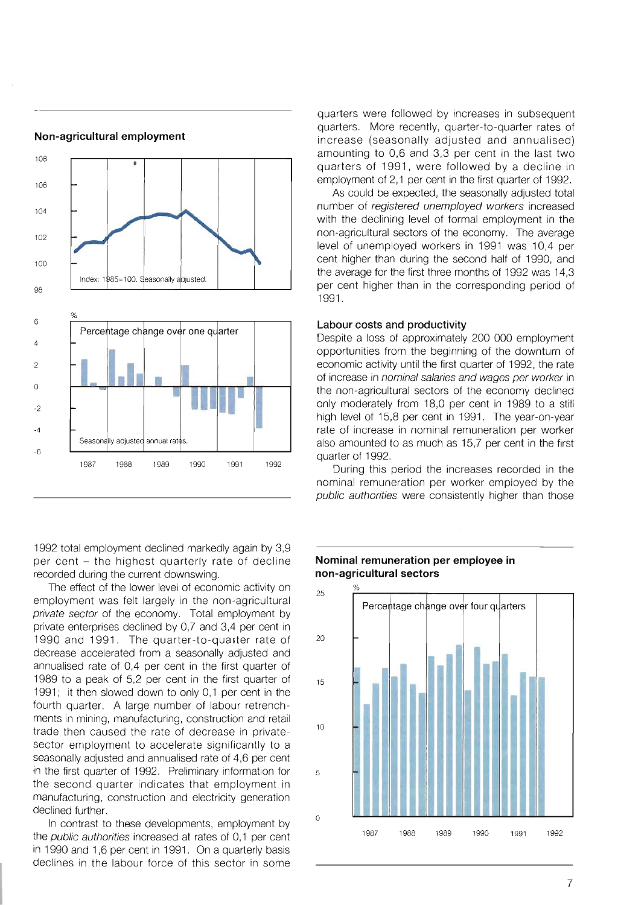

**Non-agricultural employment** 

1992 total employment declined markedly again by 3,9 per cent - the highest quarterly rate of decline recorded during the current downswing.

The effect of the lower level of economic activity on employment was felt largely in the non-agricultural private sector of the economy. Total employment by private enterprises declined by 0,7 and 3,4 per cent in 1990 and 1991. The quarter-to-quarter rate of decrease accelerated from a seasonally adjusted and annualised rate of 0,4 per cent in the first quarter of 1989 to a peak of 5,2 per cent in the first quarter of 1991; it then slowed down to only 0,1 per cent in the fourth quarter. A large number of labour retrenchments in mining, manufacturing, construction and retail trade then caused the rate of decrease in privatesector employment to accelerate significantly to a seasonally adjusted and annualised rate of 4,6 per cent in the first quarter of 1992. Preliminary information for the second quarter indicates that employment in manufacturing, construction and electricity generation declined further.

In contrast to these developments, employment by the *public authorities* increased at rates of 0,1 per cent in 1990 and 1,6 per cent in 1991. On a quarterly basis declines in the labour force of this sector in some

quarters were followed by increases in subsequent quarters. More recently, quarter-to-quarter rates of increase (seasonally adjusted and annualised) amounting to 0,6 and 3,3 per cent in the last two quarters of 1991, were followed by a decline in employment of 2,1 per cent in the first quarter of 1992.

As could be expected, the seasonally adjusted total number of registered unemployed workers increased with the declining level of formal employment in the non-agricultural sectors of the economy. The average level of unemployed workers in 1991 was 10,4 per cent higher than during the second half of 1990, and the average for the first three months of 1992 was 14,3 per cent higher than in the corresponding period of 1991.

#### **Labour costs and productivity**

Despite a loss of approximately 200 000 employment opportunities from the beginning of the downturn of economic activity until the first quarter of 1992, the rate of increase in nominal salaries and wages per worker in the non-agricultural sectors of the economy declined only moderately from 18,0 per cent in 1989 to a still high level of 15,8 per cent in 1991. The year-on-year rate of increase in nominal remuneration per worker also amounted to as much as 15,7 per cent in the first quarter of 1992.

During this period the increases recorded in the nominal remuneration per worker employed by the public authorities were consistently higher than those



## **Nominal remuneration per employee in non-agricultural sectors**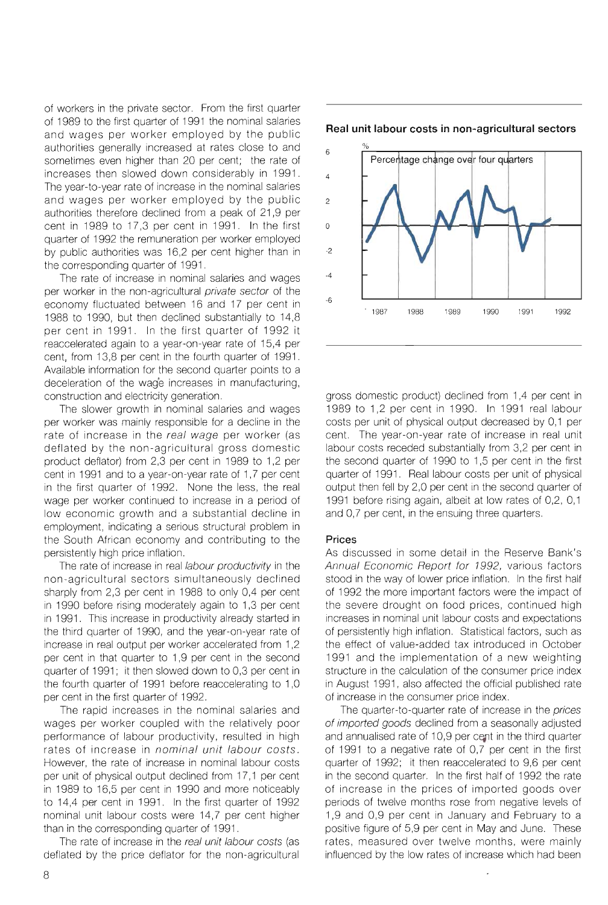of workers in the private sector. From the first quarter of 1989 to the first quarter of 1991 the nominal salaries and wages per worker employed by the public authorities generally increased at rates close to and sometimes even higher than 20 per cent; the rate of increases then slowed down considerably in 1991 . The year-to-year rate of increase in the nominal salaries and wages per worker employed by the public authorities therefore declined from a peak of 21,9 per cent in 1989 to 17,3 per cent in 1991. In the first quarter of 1992 the remuneration per worker employed by public authorities was 16,2 per cent higher than in the corresponding quarter of 1991 .

The rate of increase in nominal salaries and wages per worker in the non-agricultural private sector of the economy fluctuated between 16 and 17 per cent in 1988 to 1990, but then declined substantially to 14,8 per cent in 1991. In the first quarter of 1992 it reaccelerated again to a year-on-year rate of 15,4 per cent, from 13,8 per cent in the fourth quarter of 1991. Available information for the second quarter points to a deceleration of the wag'e increases in manufacturing, construction and electricity generation.

The slower growth in nominal salaries and wages per worker was mainly responsible for a decline in the rate of increase in the real wage per worker (as deflated by the non -agricultural gross domestic product deflator) from 2,3 per cent in 1989 to 1,2 per cent in 1991 and to a year-on-year rate of 1,7 per cent in the first quarter of 1992. None the less, the real wage per worker continued to increase in a period of low economic growth and a substantial decline in employment, indicating a serious structural problem in the South African economy and contributing to the persistently high price inflation.

The rate of increase in real labour productivity in the non -agricultural sectors simultaneously declined sharply from 2,3 per cent in 1988 to only 0,4 per cent in 1990 before rising moderately again to 1,3 per cent in 1991. This increase in productivity already started in the third quarter of 1990, and the year-on-year rate of increase in real output per worker accelerated from 1,2 per cent in that quarter to 1,9 per cent in the second quarter of 1991; it then slowed down to 0,3 per cent in the fourth quarter of 1991 before reaccelerating to 1,0 per cent in the first quarter of 1992.

The rapid increases in the nominal salaries and wages per worker coupled with the relatively poor performance of labour productivity, resulted in high rates of increase in nominal unit labour costs. However, the rate of increase in nominal labour costs per unit of physical output declined from 17,1 per cent in 1989 to 16,5 per cent in 1990 and more noticeably to 14,4 per cent in 1991. In the first quarter of 1992 nominal unit labour costs were 14,7 per cent higher than in the corresponding quarter of 1991 .

The rate of increase in the real unit labour costs (as deflated by the price deflator for the non-agricultural



6 Percentage change over four quarters 4 2 o -2 -4 -6 . 1987 1988 1989 1990 1991 1992

gross domestic product) declined from 1,4 per cent in 1989 to 1,2 per cent in 1990. In 1991 real labour costs per unit of physical output decreased by 0,1 per cent. The year-on-year rate of increase in real unit labour costs receded substantially from 3,2 per cent in the second quarter of 1990 to 1,5 per cent in the first quarter of 1991. Real labour costs per unit of physical output then fell by 2,0 per cent in the second quarter of 1991 before rising again, albeit at low rates of 0,2, 0,1 and 0,7 per cent, in the ensuing three quarters.

## **Prices**

As discussed in some detail in the Reserve Bank's Annual Economic Report for 1992, various factors stood in the way of lower price inflation. In the first half of 1992 the more important factors were the impact of the severe drought on food prices, continued high increases in nominal unit labour costs and expectations of persistently high inflation. Statistical factors, such as the effect of value-added tax introduced in October 1991 and the implementation of a new weighting structure in the calculation of the consumer price index in August 1991, also affected the official published rate of increase in the consumer price index.

The quarter-to-quarter rate of increase in the prices of imported goods declined from a seasonally adjusted and annualised rate of 10,9 per cent in the third quarter of 1991 to a negative rate of 0,7 per cent in the first quarter of 1992; it then reaccelerated to 9,6 per cent in the second quarter. In the first half of 1992 the rate of increase in the prices of imported goods over periods of twelve months rose from negative levels of 1,9 and 0,9 per cent in January and February to a positive figure of 5,9 per cent in May and June. These rates, measured over twelve months, were mainly influenced by the low rates of increase which had been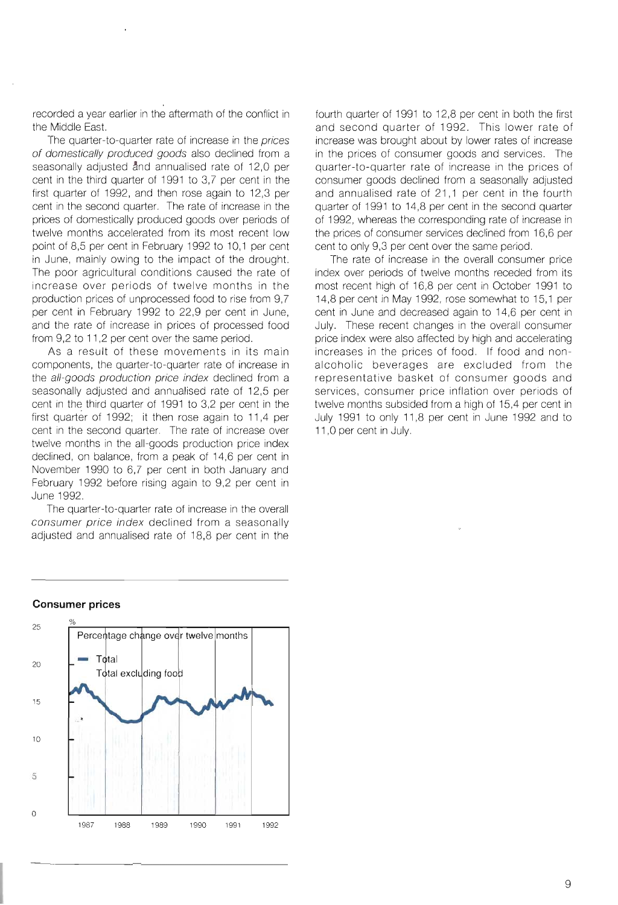recorded a year earlier in the aftermath of the conflict in the Middle East.

The quarter-to-quarter rate of increase in the prices of domestically produced goods also declined from a seasonally adjusted and annualised rate of 12,0 per cent in the third quarter of 1991 to 3,7 per cent in the first quarter of 1992, and then rose again to 12,3 per cent in the second quarter. The rate of increase in the prices of domestically produced goods over periods of twelve months accelerated from its most recent low point of 8,5 per cent in February 1992 to 10,1 per cent in June, mainly owing to the impact of the drought. The poor agricultural conditions caused the rate of increase over periods of twelve months in the production prices of unprocessed food to rise from 9,7 per cent in February 1992 to 22,9 per cent in June, and the rate of increase in prices of processed food from 9,2 to 11,2 per cent over the same period.

As a result of these movements in its main components, the quarter-to-quarter rate of increase in the all-goods production price index declined from a seasonally adjusted and annualised rate of 12,5 per cent in the third quarter of 1991 to 3,2 per cent in the first quarter of 1992; it then rose again to 11,4 per cent in the second quarter. The rate of increase over twelve months in the all-goods production price index declined, on balance, from a peak of 14,6 per cent in November 1990 to 6,7 per cent in both January and February 1992 before rising again to 9,2 per cent in June 1992.

The quarter-to-quarter rate of increase in the overall consumer price index declined from a seasonally adjusted and annualised rate of 18,8 per cent in the fourth quarter of 1991 to 12,8 per cent in both the first and second quarter of 1992. This lower rate of increase was brought about by lower rates of increase in the prices of consumer goods and services. The quarter-to-quarter rate of increase in the prices of consumer goods declined from a seasonally adjusted and annualised rate of 21,1 per cent in the fourth quarter of 1991 to 14,8 per cent in the second quarter of 1992, whereas the corresponding rate of increase in the prices of consumer services declined from 16,6 per cent to only 9,3 per cent over the same period.

The rate of increase in the overall consumer price index over periods of twelve months receded from its most recent high of 16,8 per cent in October 1991 to 14,8 per cent in May 1992, rose somewhat to 15,1 per cent in June and decreased again to 14,6 per cent in July. These recent changes in the overall consumer price index were also affected by high and accelerating increases in the prices of food. If food and nonalcoholic beverages are excluded from the representative basket of consumer goods and services, consumer price inflation over periods of twelve months subsided from a high of 15,4 per cent in July 1991 to only 11,8 per cent in June 1992 and to 11,0 per cent in July.



#### **Consumer prices**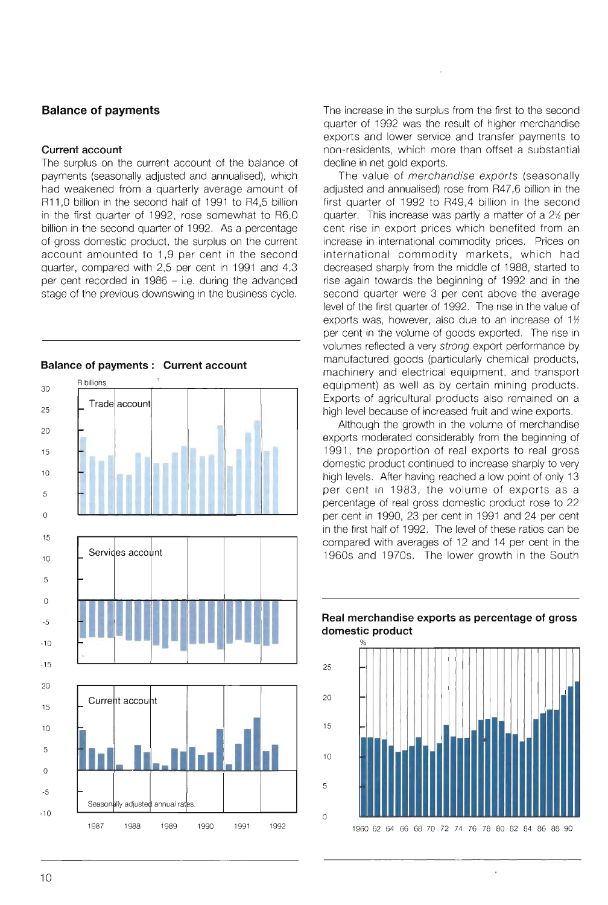## **Balance of payments**

#### **Current account**

The surplus on the current account of the balance of payments (seasonally adjusted and annualised), which had weakened from a quarterly average amount of R11,0 billion in the second half of 1991 to R4,5 billion in the first quarter of 1992, rose somewhat to R6,0 billion in the second quarter of 1992. As a percentage of gross domestic product, the surplus on the current account amounted to 1,9 per cent in the second quarter, compared with 2,5 per cent in 1991 and 4,3 per cent recorded in  $1986 - i.e.$  during the advanced stage of the previous downswing in the business cycle.



The increase in the surplus from the first to the second quarter of 1992 was the result of higher merchandise exports and lower service and transfer payments to non-residents, which more than offset a substantial decline in net gold exports.

The value of *merchandise exports* (seasonally adjusted and annualised) rose from R47,6 billion in the first quarter of 1992 to R49,4 billion in the second quarter. This increase was partly a matter of a  $2\frac{1}{2}$  per cent rise in export prices which benefited from an increase in international commodity prices. Prices on international commodity markets, which had decreased sharply from the middle of 1988, started to rise again towards the beginning of 1992 and in the second quarter were 3 per cent above the average level of the first quarter of 1992. The rise in the value of exports was, however, also due to an increase of  $1\%$ per cent in the volume of goods exported. The rise in volumes reflected a very strong export performance by manufactured goods (particularly chemical products, machinery and electrical equipment, and transport equipment) as well as by certain mining products. Exports of agricultural products also remained on a high level because of increased fruit and wine exports.

Although the growth in the volume of merchandise exports moderated considerably from the beginning of 1991, the proportion of real exports to real gross domestic product continued to increase sharply to very high levels. After having reached a low point of only 13 per cent in 1983, the volume of exports as a percentage of real gross domestic product rose to 22 per cent in 1990, 23 per cent in 1991 and 24 per cent in the first half of 1992. The level of these ratios can be compared with averages of 12 and 14 per cent in the 1960s and 1970s. The lower growth in the South



## **Real merchandise exports as percentage of gross domestic product**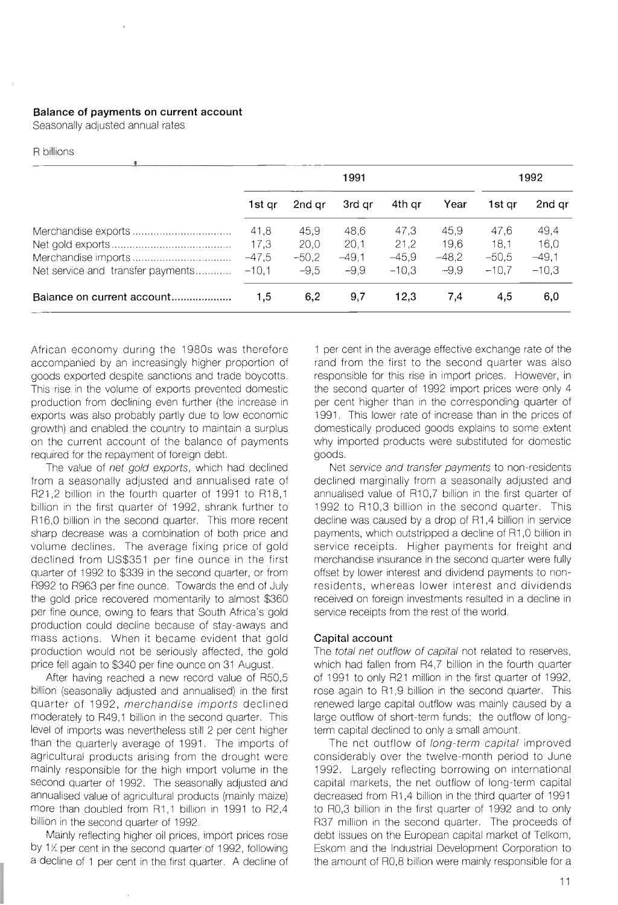## **Balance of payments on current account**

Seasonally adjusted annual rates

#### R billions

|                                   | 1991    |         |         | 1992    |         |         |         |
|-----------------------------------|---------|---------|---------|---------|---------|---------|---------|
|                                   | 1st ar  | 2nd ar  | 3rd ar  | 4th ar  | Year    | 1st gr  | 2nd gr  |
|                                   | 41,8    | 45.9    | 48.6    | 47.3    | 45.9    | 47.6    | 49,4    |
|                                   | 17,3    | 20,0    | 20,1    | 21,2    | 19,6    | 18.1    | 16,0    |
|                                   | $-47,5$ | $-50,2$ | $-49.1$ | $-45.9$ | $-48,2$ | $-50.5$ | $-49,1$ |
| Net service and transfer payments | $-10,1$ | $-9,5$  | $-9.9$  | $-10.3$ | $-9.9$  | $-10.7$ | $-10.3$ |
| Balance on current account        | 1.5     | 6.2     | 9.7     | 12.3    | 7.4     | 4.5     | 6,0     |

African economy during the 1980s was therefore accompanied by an increasingly higher proportion of goods exported despite sanctions and trade boycotts. This rise in the volume of exports prevented domestic production from declining even further (the increase in exports was also probably partly due to low economic growth) and enabled the country to maintain a surplus on the current account of the balance of payments required for the repayment of foreign debt.

The value of net gold exports, which had declined from a seasonally adjusted and annualised rate of R21,2 billion in the fourth quarter of 1991 to R18,1 billion in the first quarter of 1992, shrank further to R16,0 billion in the second quarter. This more recent sharp decrease was a combination of both price and volume declines. The average fixing price of gold declined from US\$351 per fine ounce in the first quarter of 1992 to \$339 in the second quarter, or from R992 to R963 per fine ounce. Towards the end of July the gold price recovered momentarily to almost \$360 per fine ounce, owing to fears that South Africa's gold production could decline because of stay-aways and mass actions. When it became evident that gold production would not be seriously affected, the gold price fell again to \$340 per fine ounce on 31 August.

After having reached a new record value of R50,5 billion (seasonally adjusted and annualised) in the first quarter of 1992, merchandise imports declined moderately to R49,1 billion in the second quarter. This level of imports was nevertheless still 2 per cent higher than the quarterly average of 1991. The imports of agricultural products arising from the drought were mainly responsible for the high import volume in the second quarter of 1992. The seasonally adjusted and annualised value of agricultural products (mainly maize) more than doubled from R1,1 billion in 1991 to R2,4 billion in the second quarter of 1992.

Mainly reflecting higher oil prices, import prices rose by 1% per cent in the second quarter of 1992, following a decline of 1 per cent in the first quarter. A decline of 1 per cent in the average effective exchange rate of the rand from the first to the second quarter was also responsible for this rise in import prices. However, in the second quarter of 1992 import prices were only 4 per cent higher than in the corresponding quarter of 1991. This lower rate of increase than in the prices of domestically produced goods explains to some extent why imported products were substituted for domestic goods.

Net service and transfer payments to non-residents declined marginally from a seasonally adjusted and annualised value of R10,7 billion in the first quarter of 1992 to R10,3 billion in the second quarter. This decline was caused by a drop of R1,4 billion in service payments, which outstripped a decline of R1,0 billion in service receipts. Higher payments for freight and merchandise insurance in the second quarter were fully offset by lower interest and dividend payments to nonresidents, whereas lower interest and dividends received on foreign investments resulted in a decline in service receipts from the rest of the world.

#### **Capital account**

The total net outflow of capital not related to reserves, which had fallen from R4,7 billion in the fourth quarter of 1991 to only R21 million in the first quarter of 1992, rose again to R1,9 billion in the second quarter. This renewed large capital outflow was mainly caused by a large outflow of short-term funds; the outflow of longterm capital declined to only a small amount.

The net outflow of long-term capital improved considerably over the twelve-month period to June 1992. Largely reflecting borrowing on international capital markets, the net outflow of long-term capital decreased from R1,4 billion in the third quarter of 1991 to RO,3 billion in the first quarter of 1992 and to only R37 million in the second quarter. The proceeds of debt issues on the European capital market of Telkom, Eskom and the Industrial Development Corporation to the amount of RO,8 billion were mainly responsible for a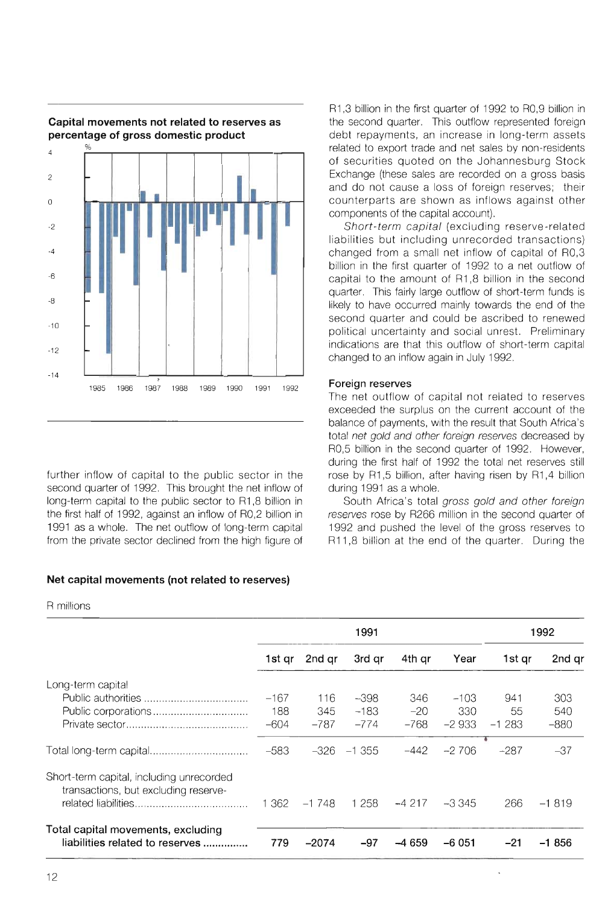

further inflow of capital to the public sector in the second quarter of 1992. This brought the net inflow of long-term capital to the public sector to R1 ,8 billion in the first half of 1992, against an inflow of RO,2 billion in 1991 as a whole. The net outflow of long-term capital from the private sector declined from the high figure of

## **Net capital movements (not related to reserves)**

R millions

|                                                                                  | 1991   |         |          | 1992    |         |         |         |
|----------------------------------------------------------------------------------|--------|---------|----------|---------|---------|---------|---------|
|                                                                                  | 1st qr | 2nd ar  | 3rd gr   | 4th qr  | Year    | 1st gr  | 2nd qr  |
| Long-term capital                                                                |        |         |          |         |         |         |         |
|                                                                                  | $-167$ | 116     | $-398$   | 346     | $-103$  | 941     | 303     |
|                                                                                  | 188    | 345     | $-183$   | $-20$   | 330     | 55      | 540     |
|                                                                                  | $-604$ | $-787$  | $-774$   | $-768$  | $-2933$ | $-1283$ | $-880$  |
|                                                                                  | $-583$ | $-326$  | $-1.355$ | -442    | $-2706$ | $-287$  | $-37$   |
| Short-term capital, including unrecorded<br>transactions, but excluding reserve- | 1 362  | $-1748$ | 1 2 5 8  | $-4217$ | -3345   | 266     | $-1819$ |
| Total capital movements, excluding                                               |        |         |          |         |         |         |         |
| liabilities related to reserves                                                  | 779    | $-2074$ | $-97$    | --4659  | $-6051$ | $-21$   | -1 856  |

R1,3 billion in the first quarter of 1992 to RO,9 billion in the second quarter. This outflow represented foreign debt repayments, an increase in long-term assets related to export trade and net sales by non-residents of securities quoted on the Johannesburg Stock Exchange (these sales are recorded on a gross basis and do not cause a loss of foreign reserves; their counterparts are shown as inflows against other components of the capital account).

Short-term capital (excluding reserve-related liabilities but including unrecorded transactions) changed from a small net inflow of capital of RO,3 billion in the first quarter of 1992 to a net outflow of capital to the amount of R1,8 billion in the second quarter. This fairly large outflow of short-term funds is likely to have occurred mainly towards the end of the second quarter and could be ascribed to renewed political uncertainty and social unrest. Preliminary indications are that this outflow of short-term capital changed to an inflow again in July 1992.

## **Foreign reserves**

The net outflow of capital not related to reserves exceeded the surplus on the current account of the balance of payments, with the result that South Africa's total net gold and other foreign reserves decreased by RO,5 billion in the second quarter of 1992. However, during the first half of 1992 the total net reserves still rose by R1,5 billion, after having risen by R1,4 billion during 1991 as a whole.

South Africa's total gross gold and other foreign reserves rose by R266 million in the second quarter of 1992 and pushed the level of the gross reserves to R11,8 billion at the end of the quarter. During the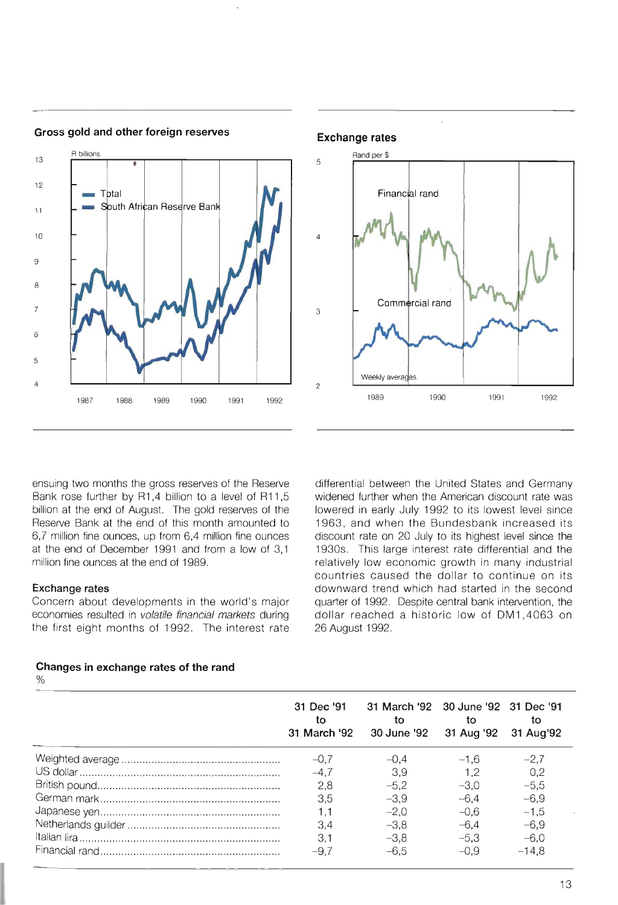

**Gross gold and other foreign reserves** 

Rand per \$ 5 Financial rand  $\overline{A}$ Commercial rand 3 Weekly averages  $\overline{2}$ 1989 1990 1991 1992

**Exchange rates** 

ensuing two months the gross reserves of the Reserve Bank rose further by R1,4 billion to a level of R11,5 billion at the end of August. The gold reserves of the Reserve Bank at the end of this month amounted to 6,7 million fine ounces, up from 6,4 million fine ounces at the end of December 1991 and from a low of 3,1 million fine ounces at the end of 1989.

## **Exchange rates**

Concern about developments in the world's major economies resulted in volatile financial markets during the first eight months of 1992. The interest rate differential between the United States and Germany widened further when the American discount rate was lowered in early July 1992 to its lowest level since 1963, and when the Bundesbank increased its discount rate on 20 July to its highest level since the 1930s. This large interest rate differential and the relatively low economic growth in many industrial countries caused the dollar to continue on its downward trend which had started in the second quarter of 1992. Despite central bank intervention, the dollar reached a historic low of DM1,4063 on 26 August 1992.

| 31 Dec '91<br>tο<br>31 March '92 | 31 March '92 30 June '92 31 Dec '91<br>tο<br>30 June '92 31 Aug '92 | tο     | tο<br>31 Aug'92 |  |
|----------------------------------|---------------------------------------------------------------------|--------|-----------------|--|
| $-0.7$                           | $-0.4$                                                              | $-1.6$ | $-2,7$          |  |
| $-4.7$                           | 3.9                                                                 | 1.2    | 0,2             |  |
| 2,8                              | $-5.2$                                                              | $-3.0$ | $-5,5$          |  |
| 3.5                              | $-3,9$                                                              | $-6.4$ | $-6,9$          |  |
| 1.1                              | $-2,0$                                                              | $-0.6$ | $-1,5$          |  |
| 3.4                              | $-3.8$                                                              | $-6.4$ | $-6,9$          |  |
| 3.1                              | $-3.8$                                                              | $-5.3$ | $-6,0$          |  |
| $-9.7$                           | $-6.5$                                                              | $-0.9$ | $-14,8$         |  |

## **Changes in exchange rates of the rand**

%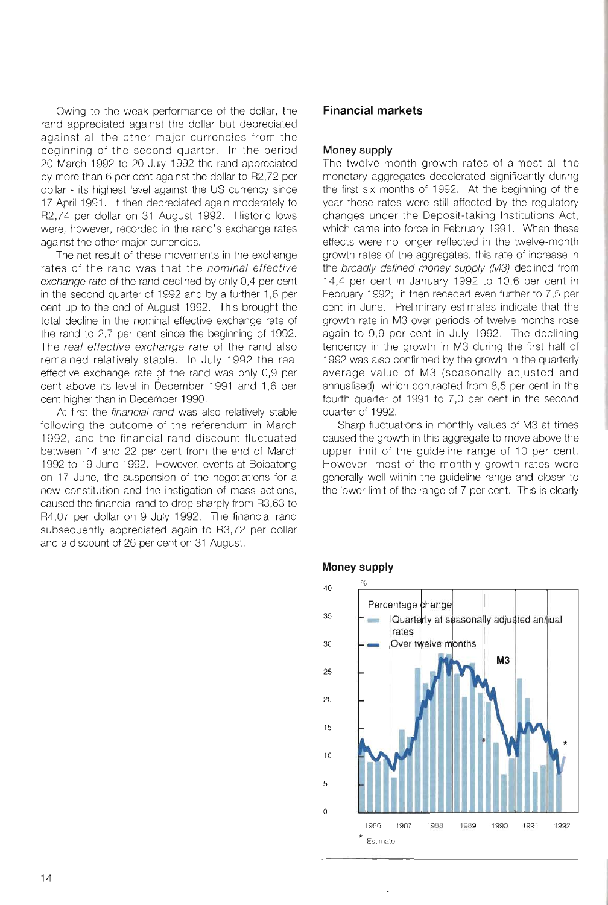Owing to the weak performance of the dollar, the rand appreciated against the dollar but depreciated against all the other major currencies from the beginning of the second quarter. In the period 20 March 1992 to 20 July 1992 the rand appreciated by more than 6 per cent against the dollar to R2,72 per dollar - its highest level against the US currency since 17 April 1991. It then depreciated again moderately to R2 ,74 per dollar on 31 August 1992. Historic lows were, however, recorded in the rand's exchange rates against the other major currencies.

The net result of these movements in the exchange rates of the rand was that the nominal effective exchange rate of the rand declined by only 0,4 per cent in the second quarter of 1992 and by a further 1,6 per cent up to the end of August 1992. This brought the total decline in the nominal effective exchange rate of the rand to 2,7 per cent since the beginning of 1992. The real effective exchange rate of the rand also remained relatively stable. In July 1992 the real effective exchange rate of the rand was only 0,9 per cent above its level in December 1991 and 1,6 per cent higher than in December 1990.

At first the financial rand was also relatively stable following the outcome of the referendum in March 1992, and the financial rand discount fluctuated between 14 and 22 per cent from the end of March 1992 to 19 June 1992. However, events at Boipatong on 17 June, the suspension of the negotiations for a new constitution and the instigation of mass actions, caused the financial rand to drop sharply from R3,63 to R4,07 per dollar on 9 July 1992. The financial rand subsequently appreciated again to R3,72 per dollar and a discount of 26 per cent on 31 August.

## **Financial markets**

## **Money supply**

The twelve-month growth rates of almost all the monetary aggregates decelerated significantly during the first six months of 1992. At the beginning of the year these rates were still affected by the regulatory changes under the Deposit-taking Institutions Act, which came into force in February 1991. When these effects were no longer reflected in the twelve-month growth rates of the aggregates, this rate of increase in the broadly defined money supply (M3) declined from 14,4 per cent in January 1992 to 10,6 per cent in February 1992; it then receded even further to 7,5 per cent in June. Preliminary estimates indicate that the growth rate in M3 over periods of twelve months rose again to 9,9 per cent in July 1992. The declining tendency in the growth in M3 during the first half of 1992 was also confirmed by the growth in the quarterly average value of M3 (seasonally adjusted and annualised), which contracted from 8,5 per cent in the fourth quarter of 1991 to 7,0 per cent in the second quarter of 1992.

Sharp fluctuations in monthly values of M3 at times caused the growth in this aggregate to move above the upper limit of the guideline range of 10 per cent. However, most of the monthly growth rates were generally well within the guideline range and closer to the lower limit of the range of 7 per cent. This is clearly



#### **Money supply**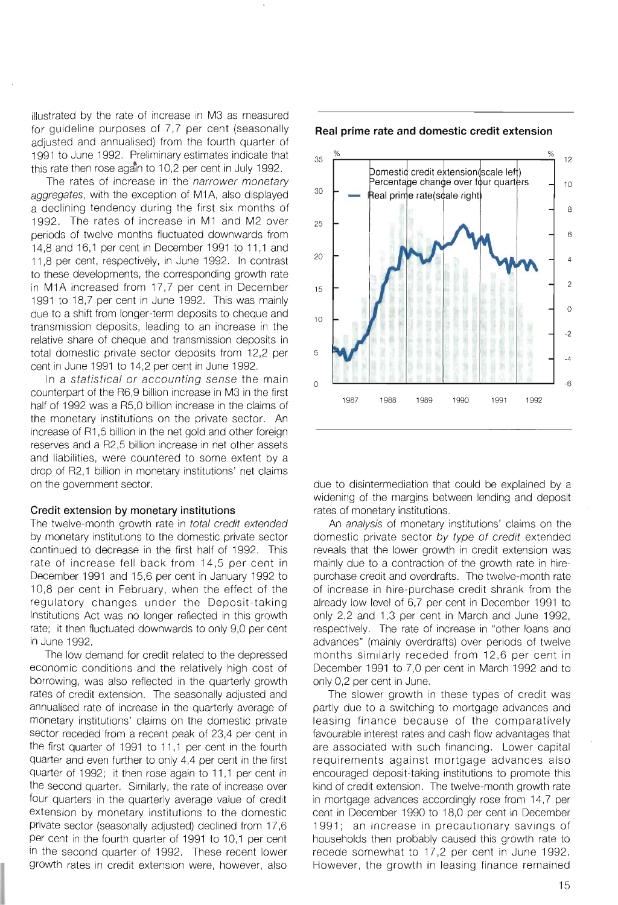illustrated by the rate of increase in M3 as measured for guideline purposes of 7,7 per cent (seasonally adjusted and annualised) from the fourth quarter of 1991 to June 1992. Preliminary estimates indicate that this rate then rose again to 10,2 per cent in July 1992.

The rates of increase in the narrower monetary aggregates, with the exception of M1A, also displayed a declining tendency during the first six months of 1992. The rates of increase in M1 and M2 over periods of twelve months fluctuated downwards from 14,8 and 16,1 per cent in December 1991 to 11,1 and 11,8 per cent, respectively, in June 1992. In contrast to these developments, the corresponding growth rate in M1A increased from 17,7 per cent in December 1991 to 18,7 per cent in June 1992. This was mainly due to a shift from longer-term deposits to cheque and transmission deposits, leading to an increase in the relative share of cheque and transmission deposits in total domestic private sector deposits from 12,2 per cent in June 1991 to 14,2 per cent in June 1992.

In a statistical or accounting sense the main counterpart of the R6,9 billion increase in M3 in the first half of 1992 was a R5,0 billion increase in the claims of the monetary institutions on the private sector. An increase of R1,5 billion in the net gold and other foreign reserves and a R2,5 billion increase in net other assets and liabilities, were countered to some extent by a drop of R2,1 billion in monetary institutions' net claims on the government sector.

#### **Credit extension by monetary institutions**

The twelve-month growth rate in total credit extended by monetary institutions to the domestic private sector continued to decrease in the first half of 1992. This rate of increase fell back from 14,5 per cent in December 1991 and 15,6 per cent in January 1992 to 10,8 per cent in February, when the effect of the regulatory changes under the Deposit-taking Institutions Act was no longer reflected in this growth rate; it then fluctuated downwards to only 9,0 per cent in June 1992.

The low demand for credit related to the depressed economic conditions and the relatively high cost of borrowing, was also reflected in the quarterly growth rates of credit extension. The seasonally adjusted and annualised rate of increase in the quarterly average of monetary institutions' claims on the domestic private sector receded from a recent peak of 23,4 per cent in the first quarter of 1991 to 11,1 per cent in the fourth quarter and even further to only 4,4 per cent in the first quarter of 1992; it then rose again to 11,1 per cent in the second quarter. Similarly, the rate of increase over four quarters in the quarterly average value of credit extension by monetary institutions to the domestic private sector (seasonally adjusted) declined from 17,6 per cent in the fourth quarter of 1991 to 10,1 per cent in the second quarter of 1992. These recent lower growth rates in credit extension were, however, also



**Real prime rate and domestic credit extension** 

due to disintermediation that could be explained by a widening of the margins between lending and deposit rates of monetary institutions.

An analysis of monetary institutions' claims on the domestic private sector by type of credit extended reveals that the lower growth in credit extension was mainly due to a contraction of the growth rate in hirepurchase credit and overdrafts. The twelve-month rate of increase in hire-purchase credit shrank from the already low level of 6,7 per cent in December 1991 to only 2,2 and 1,3 per cent in March and June 1992, respectively. The rate of increase in "other loans and advances" (mainly overdrafts) over periods of twelve months similarly receded from 12,6 per cent in December 1991 to 7,0 per cent in March 1992 and to only 0,2 per cent in June.

The slower growth in these types of credit was partly due to a switching to mortgage advances and leasing finance because of the comparatively favourable interest rates and cash flow advantages that are associated with such financing. Lower capital requirements against mortgage advances also encouraged deposit-taking institutions to promote this kind of credit extension. The twelve-month growth rate in mortgage advances accordingly rose from 14,7 per cent in December 1990 to 18,0 per cent in December 1991; an increase in precautionary savings of households then probably caused this growth rate to recede somewhat to 17,2 per cent in June 1992. However, the growth in leasing finance remained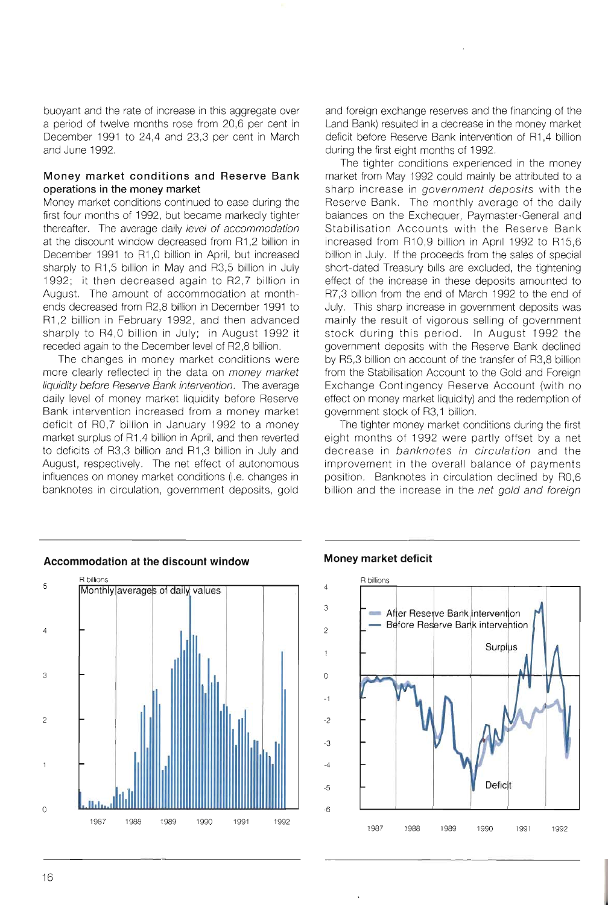buoyant and the rate of increase in this aggregate over a period of twelve months rose from 20,6 per cent in December 1991 to 24,4 and 23,3 per cent in March and June 1992.

## **Money market conditions and Reserve Bank operations in the money market**

Money market conditions continued to ease during the first four months of 1992, but became markedly tighter thereafter. The average daily level of accommodation at the discount window decreased from R1,2 billion in December 1991 to R1,O billion in April, but increased sharply to R1,5 billion in May and R3,5 billion in July 1992; it then decreased again to R2,7 billion in August. The amount of accommodation at monthends decreased from R2,8 billion in December 1991 to R1,2 billion in February 1992, and then advanced sharply to R4,O billion in July; in August 1992 it receded again to the December level of R2,8 billion.

The changes in money market conditions were more clearly reflected in the data on money market liquidity before Reserve Bank intervention. The average daily level of money market liquidity before Reserve Bank intervention increased from a money market deficit of RO,7 billion in January 1992 to a money market surplus of R1,4 billion in April, and then reverted to deficits of R3,3 billion and R1,3 billion in July and August, respectively. The net effect of autonomous influences on money market conditions (i.e. changes in banknotes in circulation, government deposits, gold

and foreign exchange reserves and the financing of the Land Bank) resulted in a decrease in the money market deficit before Reserve Bank intervention of R1,4 billion during the first eight months of 1992.

The tighter conditions experienced in the money market from May 1992 could mainly be attributed to a sharp increase in government deposits with the Reserve Bank. The monthly average of the daily balances on the Exchequer, Paymaster-General and Stabilisation Accounts with the Reserve Bank increased from R10,9 billion in April 1992 to R15,6 billion in July. If the proceeds from the sales of special short-dated Treasury bills are excluded, the tightening effect of the increase in these deposits amounted to R7,3 billion from the end of March 1992 to the end of July. This sharp increase in government deposits was mainly the result of vigorous selling of government stock during this period. In August 1992 the government deposits with the Reserve Bank declined by R5,3 billion on account of the transfer of R3,8 billion from the Stabilisation Account to the Gold and Foreign Exchange Contingency Reserve Account (with no effect on money market liquidity) and the redemption of government stock of R3, 1 billion.

The tighter money market conditions during the first eight months of 1992 were partly offset by a net decrease in banknotes in circulation and the improvement in the overall balance of payments position. Banknotes in circulation declined by RO,6 billion and the increase in the net gold and foreign



## **Accommodation at the discount window**

## **Money market deficit**

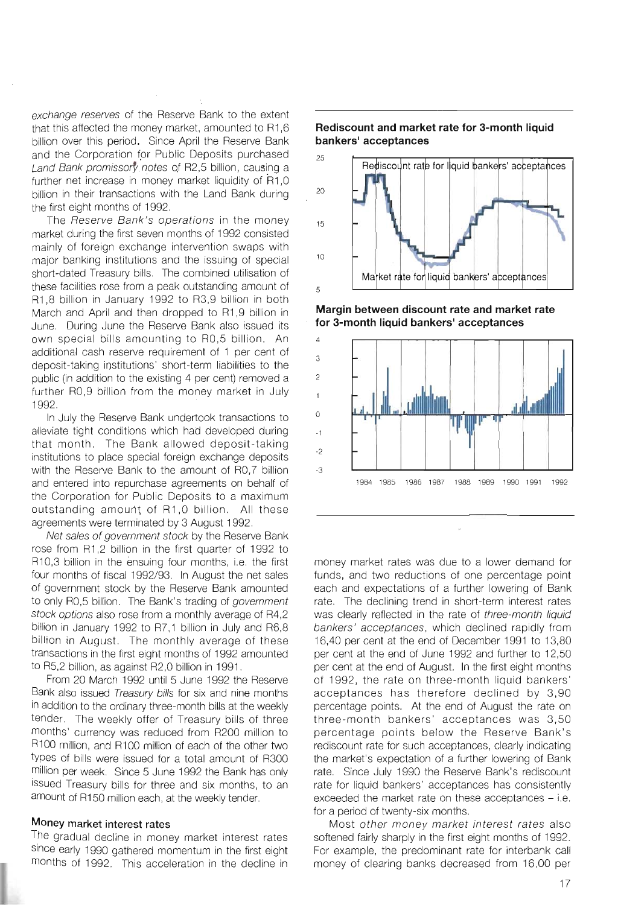exchange reserves of the Reserve Bank to the extent that this affected the money market, amounted to R1,6 billion over this period. Since April the Reserve Bank and the Corporation for Public Deposits purchased Land Bank promissory notes of R2,5 billion, causing a further net increase in money market liquidity of R1,0 billion in their transactions with the Land Bank during the first eight months of 1992.

The Reserve Bank's operations in the money market during the first seven months of 1992 consisted mainly of foreign exchange intervention swaps with major banking institutions and the issuing of special short-dated Treasury bills. The combined utilisation of these facilities rose from a peak outstanding amount of R1,8 billion in January 1992 to R3,9 billion in both March and April and then dropped to R1,9 billion in June. During June the Reserve Bank also issued its own special bills amounting to RO,5 billion. An additional cash reserve requirement of 1 per cent of deposit-taking institutions' short-term liabilities to the public (in addition to the existing 4 per cent) removed a further RO,9 billion from the money market in July 1992.

In July the Reserve Bank undertook transactions to alleviate tight conditions which had developed during that month. The Bank allowed deposit-taking institutions to place special foreign exchange deposits with the Reserve Bank to the amount of RO,7 billion and entered into repurchase agreements on behalf of the Corporation for Public Deposits to a maximum outstanding amount of R1,0 billion. All these agreements were terminated by 3 August 1992.

Net sales of government stock by the Reserve Bank rose from R1,2 billion in the first quarter of 1992 to R10,3 billion in the ensuing four months, i.e. the first four months of fiscal 1992/93. In August the net sales of government stock by the Reserve Bank amounted to only R0,5 billion. The Bank's trading of government stock options also rose from a monthly average of R4,2 billion in January 1992 to R7,1 billion in July and R6,8 billion in August. The monthly average of these transactions in the first eight months of 1992 amounted to R5,2 billion, as against R2,0 billion in 1991.

From 20 March 1992 until 5 June 1992 the Reserve Bank also issued Treasury bills for six and nine months in addition to the ordinary three-month bills at the weekly tender. The weekly offer of Treasury bills of three months' currency was reduced from R200 million to R100 million, and R100 million of each of the other two types of bills were issued for a total amount of R300 million per week. Since 5 June 1992 the Bank has only issued Treasury bills for three and six months, to an amount of R150 million each, at the weekly tender.

## **Money market interest rates**

The gradual decline in money market interest rates Since early 1990 gathered momentum in the first eight months of 1992. This acceleration in the decline in



**Rediscount and market rate for 3-month liquid bankers' acceptances** 

**Margin between discount rate and market rate for 3-month liquid bankers' acceptances** 



money market rates was due to a lower demand for funds, and two reductions of one percentage point each and expectations of a further lowering of Bank rate. The declining trend in short-term interest rates was clearly reflected in the rate of three-month liquid bankers' acceptances, which declined rapidly from 16,40 per cent at the end of December 1991 to 13,80 per cent at the end of June 1992 and further to 12,50 per cent at the end of August. In the first eight months of 1992, the rate on three-month liquid bankers' acceptances has therefore declined by 3,90 percentage points. At the end of August the rate on three-month bankers' acceptances was 3,50 percentage points below the Reserve Bank's rediscount rate for such acceptances, clearly indicating the market's expectation of a further lowering of Bank rate. Since July 1990 the Reserve Bank's rediscount rate for liquid bankers' acceptances has consistently exceeded the market rate on these acceptances  $-$  i.e. for a period of twenty-six months.

Most other money market interest rates also softened fairly sharply in the first eight months of 1992. For example, the predominant rate for interbank call money of clearing banks decreased from 16,00 per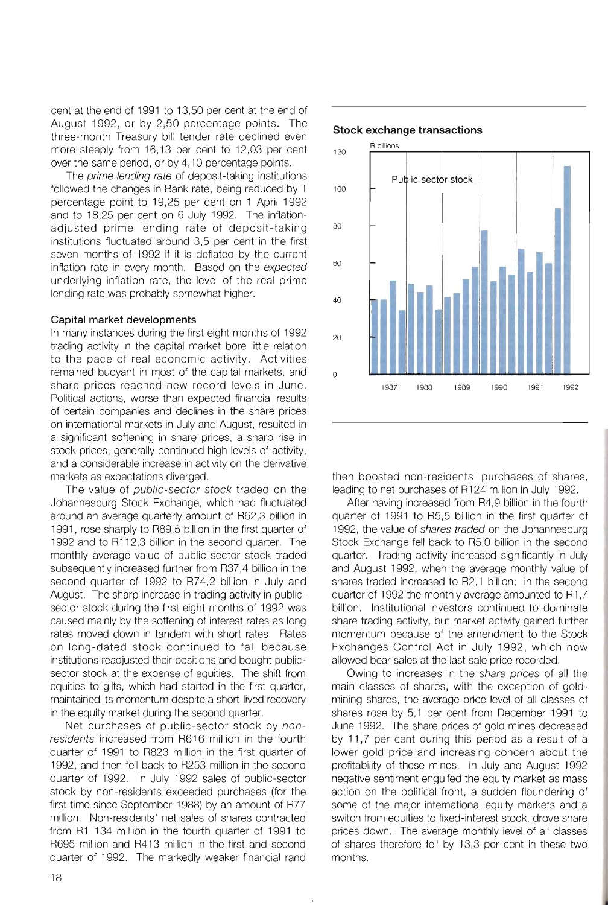cent at the end of 1991 to 13,50 per cent at the end of August 1992, or by 2,50 percentage points. The three-month Treasury bill tender rate declined even more steeply from 16,13 per cent to 12,03 per cent over the same period, or by 4,10 percentage points.

The *prime lending rate* of deposit-taking institutions followed the changes in Bank rate, being reduced by 1 percentage point to 19,25 per cent on 1 April 1992 and to 18,25 per cent on 6 July 1992. The inflationadjusted prime lending rate of deposit-taking institutions fluctuated around 3,5 per cent in the first seven months of 1992 if it is deflated by the current inflation rate in every month. Based on the expected underlying inflation rate, the level of the real prime lending rate was probably somewhat higher.

## **Capital market developments**

In many instances during the first eight months of 1992 trading activity in the capital market bore little relation to the pace of real economic activity. Activities remained buoyant in most of the capital markets, and share prices reached new record levels in June. Political actions, worse than expected financial results of certain companies and declines in the share prices on international markets in July and August, resulted in a significant softening in share prices, a sharp rise in stock prices, generally continued high levels of activity, and a considerable increase in activity on the derivative markets as expectations diverged.

The value of public-sector stock traded on the Johannesburg Stock Exchange, which had fluctuated around an average quarterly amount of R62,3 billion in 1991, rose sharply to R89,5 billion in the first quarter of 1992 and to R112,3 billion in the second quarter. The monthly average value of public-sector stock traded subsequently increased further from R37,4 billion in the second quarter of 1992 to R74,2 billion in July and August. The sharp increase in trading activity in publicsector stock during the first eight months of 1992 was caused mainly by the softening of interest rates as long rates moved down in tandem with short rates. Rates on long-dated stock continued to fall because institutions readjusted their positions and bought publicsector stock at the expense of equities. The shift from equities to gilts, which had started in the first quarter, maintained its momentum despite a short-lived recovery in the equity market during the second quarter.

Net purchases of public-sector stock by nonresidents increased from R616 million in the fourth quarter of 1991 to R823 million in the first quarter of 1992, and then fell back to R253 million in the second quarter of 1992. In July 1992 sales of public-sector stock by non-residents exceeded purchases (for the first time since September 1988) by an amount of R77 million. Non-residents' net sales of shares contracted from R1 134 million in the fourth quarter of 1991 to R695 million and R413 million in the first and second quarter of 1992. The markedly weaker financial rand



#### **Stock exchange transactions**

then boosted non-residents' purchases of shares, leading to net purchases of R124 million in July 1992.

After having increased from R4,9 billion in the fourth quarter of 1991 to R5,5 billion in the first quarter of 1992, the value of shares traded on the Johannesburg Stock Exchange fell back to R5,0 billion in the second quarter. Trading activity increased significantly in July and August 1992, when the average monthly value of shares traded increased to R2,1 billion; in the second quarter of 1992 the monthly average amounted to R1,7 billion. Institutional investors continued to dominate share trading activity, but market activity gained further momentum because of the amendment to the Stock Exchanges Control Act in July 1992, which now allowed bear sales at the last sale price recorded.

Owing to increases in the share prices of all the main classes of shares, with the exception of goldmining shares, the average price level of all classes of shares rose by 5,1 per cent from December 1991 to June 1992. The share prices of gold mines decreased by 11,7 per cent during this period as a result of a lower gold price and increasing concern about the profitability of these mines. In July and August 1992 negative sentiment engulfed the equity market as mass action on the political front, a sudden floundering of some of the major international equity markets and a switch from equities to fixed-interest stock, drove share prices down. The average monthly level of all classes of shares therefore fell by 13,3 per cent in these two months.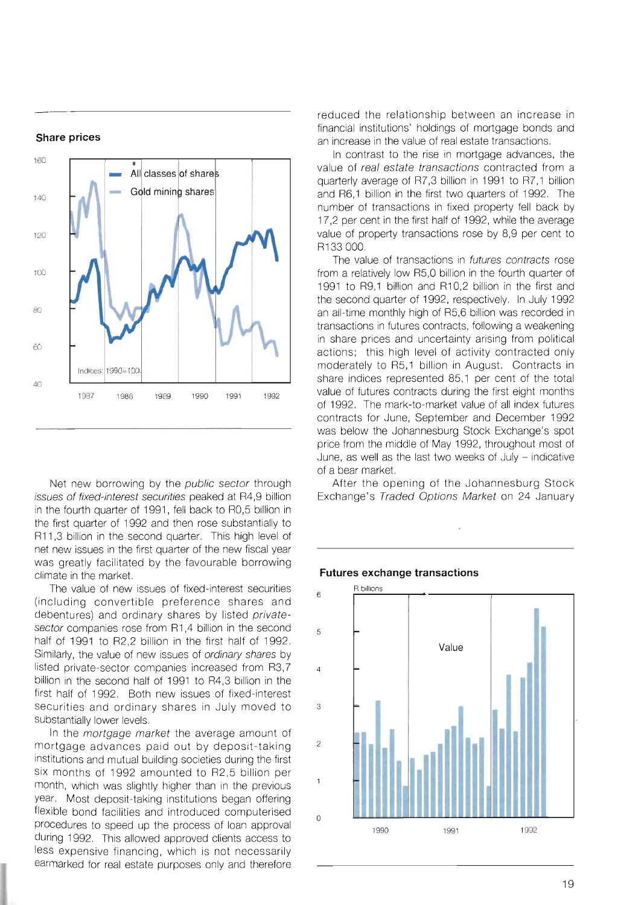#### **Share prices**



Net new borrowing by the public sector through issues of fixed-interest securities peaked at R4,9 billion in the fourth quarter of 1991, fell back to RO,5 billion in the first quarter of 1992 and then rose substantially to R11,3 billion in the second quarter. This high level of net new issues in the first quarter of the new fiscal year was greatly facilitated by the favourable borrowing climate in the market.

The value of new issues of fixed-interest securities (including convertible preference shares and debentures) and ordinary shares by listed privatesector companies rose from R1,4 billion in the second half of 1991 to R2,2 billion in the first half of 1992. Similarly, the value of new issues of ordinary shares by listed private-sector companies increased from R3,7 billion in the second half of 1991 to R4,3 billion in the first half of 1992. Both new issues of fixed-interest securities and ordinary shares in July moved to substantially lower levels.

In the *mortgage market* the average amount of mortgage advances paid out by deposit-taking institutions and mutual building societies during the first six months of 1992 amounted to R2,5 billion per month, which was slightly higher than in the previous year. Most deposit-taking institutions began offering flexible bond facilities and introduced computerised procedures to speed up the process of loan approval during 1992. This allowed approved clients access to less expensive financing, which is not necessarily earmarked for real estate purposes only and therefore reduced the relationship between an increase in financial institutions' holdings of mortgage bonds and an increase in the value of real estate transactions.

In contrast to the rise in mortgage advances, the value of real estate transactions contracted from a quarterly average of R7,3 billion in 1991 to R7,1 billion and R6,1 billion in the first two quarters of 1992. The number of transactions in fixed property fell back by 17,2 per cent in the first half of 1992, while the average value of property transactions rose by 8,9 per cent to R133 000.

The value of transactions in *futures contracts* rose from a relatively low R5,0 billion in the fourth quarter of 1991 to R9,1 billion and R10,2 billion in the first and the second quarter of 1992, respectively. In July 1992 an all-time monthly high of R5,6 billion was recorded in transactions in futures contracts, following a weakening in share prices and uncertainty arising from political actions; this high level of activity contracted only moderately to R5,1 billion in August. Contracts in share indices represented 85,1 per cent of the total value of futures contracts during the first eight months of 1992. The mark-to-market value of all index futures contracts for June, September and December 1992 was below the Johannesburg Stock Exchange's spot price from the middle of May 1992, throughout most of June, as well as the last two weeks of July - indicative of a bear market.

After the opening of the Johannesburg Stock Exchange's Traded Options Market on 24 January

#### **Futures exchange transactions**

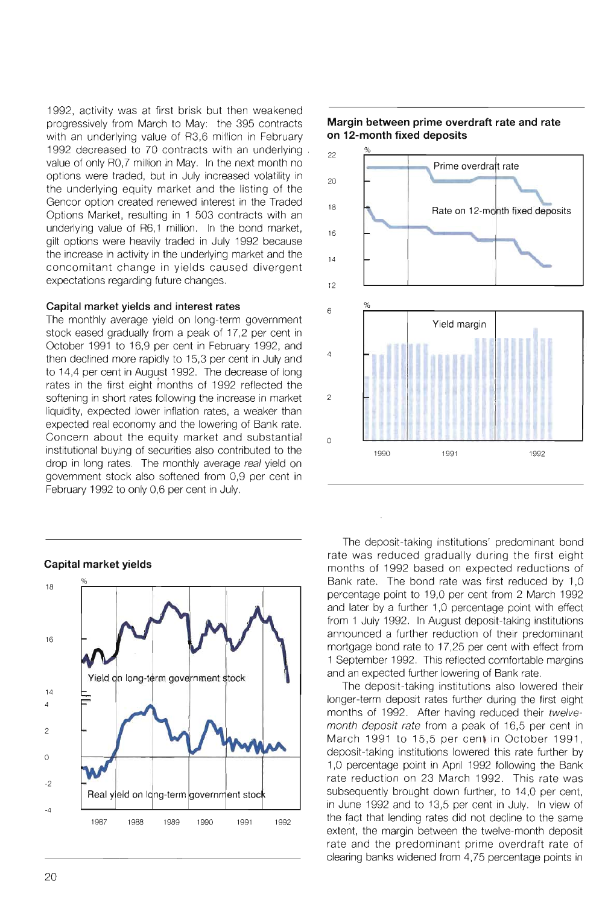1992, activity was at first brisk but then weakened progressively from March to May: the 395 contracts with an underlying value of R3,6 million in February 1992 decreased to 70 contracts with an underlying . value of only RO,7 million in May. In the next month no options were traded, but in July increased volatility in the underlying equity market and the listing of the Gencor option created renewed interest in the Traded Options Market, resulting in 1 503 contracts with an underlying value of R6,1 million. In the bond market, gilt options were heavily traded in July 1992 because the increase in activity in the underlying market and the concomitant change in yields caused divergent expectations regarding future changes.

## **Capital market yields and interest rates**

The monthly average yield on long-term government stock eased gradually from a peak of 17,2 per cent in October 1991 to 16,9 per cent in February 1992, and then declined more rapidly to 15,3 per cent in July and to 14,4 per cent in August 1992. The decrease of long rates in the first eight months of 1992 reflected the softening in short rates following the increase in market liquidity, expected lower inflation rates, a weaker than expected real economy and the lowering of Bank rate. Concern about the equity market and substantial institutional buying of securities also contributed to the drop in long rates. The monthly average real yield on government stock also softened from 0,9 per cent in February 1992 to only 0,6 per cent in July.



## **Margin between prime overdraft rate and rate on 12-month fixed deposits**



The deposit-taking institutions' predominant bond rate was reduced gradually during the first eight months of 1992 based on expected reductions of Bank rate. The bond rate was first reduced by 1,0 percentage point to 19,0 per cent from 2 March 1992 and later by a further 1,0 percentage point with effect from 1 July 1992. In August deposit-taking institutions announced a further reduction of their predominant mortgage bond rate to 17,25 per cent with effect from 1 September 1992. This reflected comfortable margins and an expected further lowering of Bank rate.

The deposit-taking institutions also lowered their longer-term deposit rates further during the first eight months of 1992. After having reduced their twelvemonth deposit rate from a peak of 16,5 per cent in March 1991 to 15,5 per cent in October 1991, deposit-taking institutions lowered this rate further by 1 ,0 percentage point in April 1992 following the Bank rate reduction on 23 March 1992. This rate was subsequently brought down further, to 14,0 per cent, in June 1992 and to 13,5 per cent in July. In view of the fact that lending rates did not decline to the same extent, the margin between the twelve-month deposit rate and the predominant prime overdraft rate of clearing banks widened from 4,75 percentage points in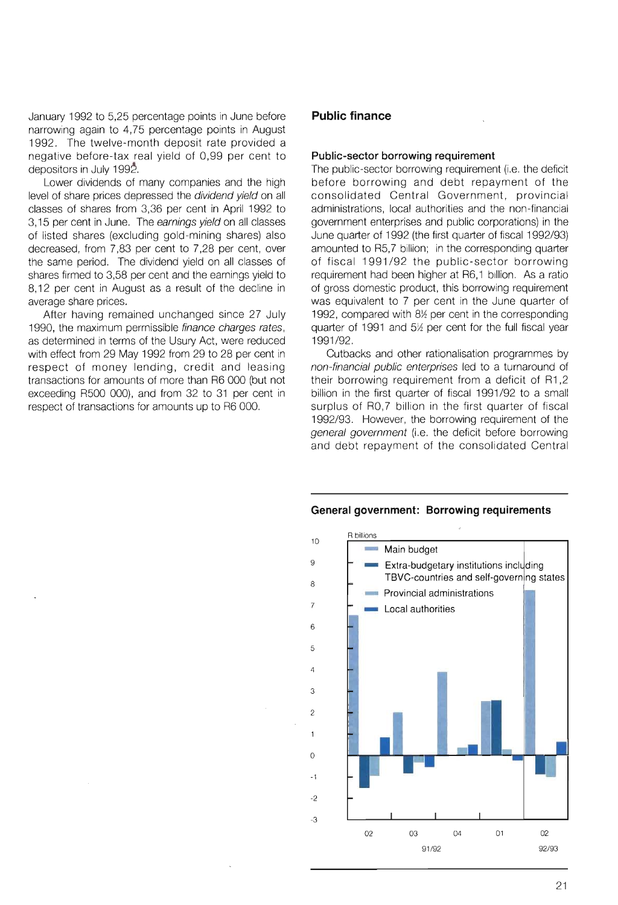January 1992 to 5,25 percentage points in June before narrowing again to 4,75 percentage points in August 1992. The twelve-month deposit rate provided a negative before-tax real yield of 0,99 per cent to depositors in July 1992.

Lower dividends of many companies and the high level of share prices depressed the dividend yield on all classes of shares from 3,36 per cent in April 1992 to 3,15 per cent in June. The earnings yield on all classes of listed shares (excluding gold-mining shares) also decreased, from 7,83 per cent to 7,28 per cent, over the same period. The dividend yield on all classes of shares firmed to 3,58 per cent and the earnings yield to 8,12 per cent in August as a result of the decline in average share prices.

After having remained unchanged since 27 July 1990, the maximum permissible finance charges rates, as determined in terms of the Usury Act, were reduced with effect from 29 May 1992 from 29 to 28 per cent in respect of money lending, credit and leasing transactions for amounts of more than R6 000 (but not exceeding R500 000), and from 32 to 31 per cent in respect of transactions for amounts up to R6 000.

## **Public finance**

9 8 7

o

 $\mathbf{1}$ 

#### **Public-sector borrowing requirement**

The public-sector borrowing requirement (i.e. the deficit before borrowing and debt repayment of the consolidated Central Government, provincial administrations, local authorities and the non-financial government enterprises and public corporations) in the June quarter of 1992 (the first quarter of fiscal 1992/93) amounted to R5,7 billion; in the corresponding quarter of fiscal 1991/92 the public-sector borrowing requirement had been higher at R6,1 billion. As a ratio of gross domestic product, this borrowing requirement was equivalent to 7 per cent in the June quarter of 1992, compared with  $8\%$  per cent in the corresponding quarter of 1991 and  $5\frac{1}{2}$  per cent for the full fiscal year 1991/92.

Cutbacks and other rationalisation programmes by non-financial public enterprises led to a turnaround of their borrowing requirement from a deficit of R1,2 billion in the first quarter of fiscal 1991/92 to a small surplus of RO,7 billion in the first quarter of fiscal 1992/93. However, the borrowing requirement of the general government (i.e. the deficit before borrowing and debt repayment of the consolidated Central

# 10 -1 -2 -3 R billions Main budget Extra-budgetary institutions including TBVC-countries and self-governing states Provincial administrations Local authorities 02 03 04 *91/92*  01 02 *92/93*

#### **General government: Borrowing requirements**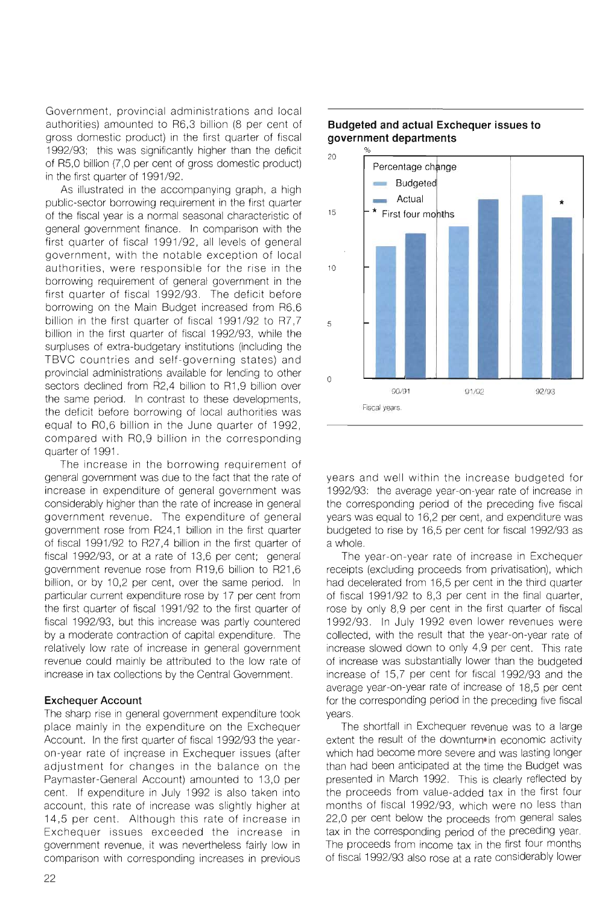Government, provincial administrations and local authorities) amounted to R6,3 billion (8 per cent of gross domestic product) in the first quarter of fiscal 1992/93; this was significantly higher than the deficit of R5,0 billion (7,0 per cent of gross domestic product) in the first quarter of 1991/92.

As illustrated in the accompanying graph, a high public-sector borrowing requirement in the first quarter of the fiscal year is a normal seasonal characteristic of general government finance. In comparison with the first quarter of fiscal 1991/92, all levels of general government, with the notable exception of local authorities, were responsible for the rise in the borrowing requirement of general government in the first quarter of fiscal 1992/93. The deficit before borrowing on the Main Budget increased from R6,6 billion in the first quarter of fiscal 1991/92 to R7,7 billion in the first quarter of fiscal 1992/93, while the surpluses of extra-budgetary institutions (including the TBVC countries and self-governing states) and provincial administrations available for lending to other sectors declined from R2,4 billion to R1,9 billion over the same period. In contrast to these developments, the deficit before borrowing of local authorities was equal to RO,6 billion in the June quarter of 1992, compared with RO,9 billion in the corresponding quarter of 1991.

The increase in the borrowing requirement of general government was due to the fact that the rate of increase in expenditure of general government was considerably higher than the rate of increase in general government revenue. The expenditure of general government rose from R24,1 billion in the first quarter of fiscal 1991/92 to R27,4 billion in the first quarter of fiscal 1992/93, or at a rate of 13,6 per cent; general government revenue rose from R19,6 billion to R21 ,6 billion, or by 10,2 per cent, over the same period. In particular current expenditure rose by 17 per cent from the first quarter of fiscal 1991/92 to the first quarter of fiscal 1992/93, but this increase was partly countered by a moderate contraction of capital expenditure. The relatively low rate of increase in general government revenue could mainly be attributed to the low rate of increase in tax collections by the Central Government.

## Exchequer Account

The sharp rise in general government expenditure took place mainly in the expenditure on the Exchequer Account. In the first quarter of fiscal 1992/93 the yearon-year rate of increase in Exchequer issues (after adjustment for changes in the balance on the Paymaster-General Account) amounted to 13,0 per cent. If expenditure in July 1992 is also taken into account, this rate of increase was slightly higher at 14,5 per cent. Although this rate of increase in Exchequer issues exceeded the increase in government revenue, it was nevertheless fairly low in comparison with corresponding increases in previous



## **Budgeted and actual Exchequer issues to government departments**

years and well within the increase budgeted for 1992/93: the average year-on-year rate of increase in the corresponding period of the preceding five fiscal years was equal to 16,2 per cent, and expenditure was budgeted to rise by 16,5 per cent for fiscal 1992/93 as a whole.

The year-on-year rate of increase in Exchequer receipts (excluding proceeds from privatisation), which had decelerated from 16,5 per cent in the third quarter of fiscal 1991/92 to 8,3 per cent in the final quarter, rose by only 8,9 per cent in the first quarter of fiscal 1992/93. In July 1992 even lower revenues were collected, with the result that the year-on-year rate of increase slowed down to only 4,9 per cent. This rate of increase was substantially lower than the budgeted increase of 15,7 per cent for fiscal 1992/93 and the average year-on-year rate of increase of 18,5 per cent for the corresponding period in the preceding five fiscal years.

The shortfall in Exchequer revenue was to a large extent the result of the downturn' in economic activity which had become more severe and was lasting longer than had been anticipated at the time the Budget was presented in March 1992. This is clearly reflected by the proceeds from value-added tax in the first four months of fiscal 1992/93, which were no less than 22,0 per cent below the proceeds from general sales tax in the corresponding period of the preceding year. The proceeds from income tax in the first four months of fiscal 1992/93 also rose at a rate considerably lower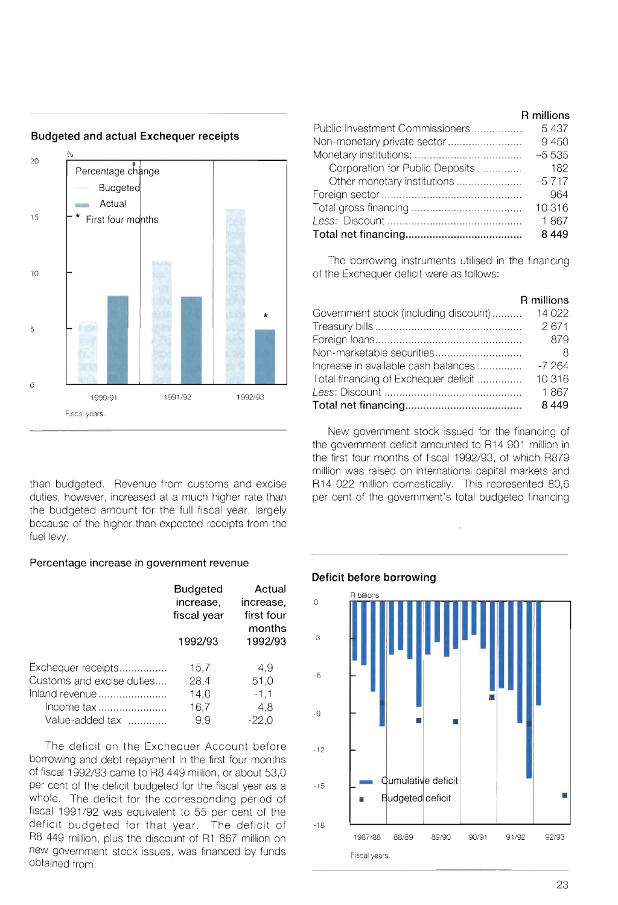

**Budgeted and actual Exchequer receipts** 

than budgeted. Revenue from customs and excise duties, however, increased at a much higher rate than the budgeted amount for the full fiscal year, largely because of the higher than expected receipts from the fuel levy.

## **Percentage increase in government revenue**

|                           | <b>Budgeted</b><br>increase,<br>fiscal year | Actual<br>increase,<br>first four<br>months |
|---------------------------|---------------------------------------------|---------------------------------------------|
|                           | 1992/93                                     | 1992/93                                     |
| Exchequer receipts        | 15,7                                        | 4.9                                         |
| Customs and excise duties | 28,4                                        | 51,0                                        |
| Inland revenue            | 14.0                                        | $-1,1$                                      |
| Income tax                | 16,7                                        | 4.8                                         |
| Value-added tax           | 9.9                                         | -22.0                                       |

The deficit on the Exchequer Account before borrowing and debt repayment in the first four months of fiscal 1992/93 came to R8 449 million, or about 53,0 per cent of the deficit budgeted for the fiscal year as a whole. The deficit for the corresponding period of fiscal 1991/92 was equivalent to 55 per cent of the deficit budgeted for that year. The deficit of R8 449 million, plus the discount of R1 867 million on new government stock issues, was financed by funds obtained from:

|                                 | R MIIIIONS |
|---------------------------------|------------|
| Public Investment Commissioners | 5437       |
|                                 | 9450       |
|                                 | $-5535$    |
| Corporation for Public Deposits | 182        |
| Other monetary institutions     | $-5717$    |
|                                 | 964        |
|                                 | 10316      |
|                                 | 1867       |
|                                 | 8 4 4 9    |

The borrowing instruments utilised in the financing of the Exchequer deficit were as follows:

|                                       | R millions |
|---------------------------------------|------------|
| Government stock (including discount) | 14 0 22    |
|                                       | 2671       |
|                                       | 879        |
| Non-marketable securities             |            |
| Increase in available cash balances   | $-7,264$   |
| Total financing of Exchequer deficit  | 10 316     |
|                                       | 1867       |
|                                       | 8449       |

New government stock issued for the financing of the government deficit amounted to R14 901 million in the first four months of fiscal 1992/93, of which R879 million was raised on international capital markets and R14 022 million domestically. This represented 80,6 per cent of the government's total budgeted financing





**R millions**